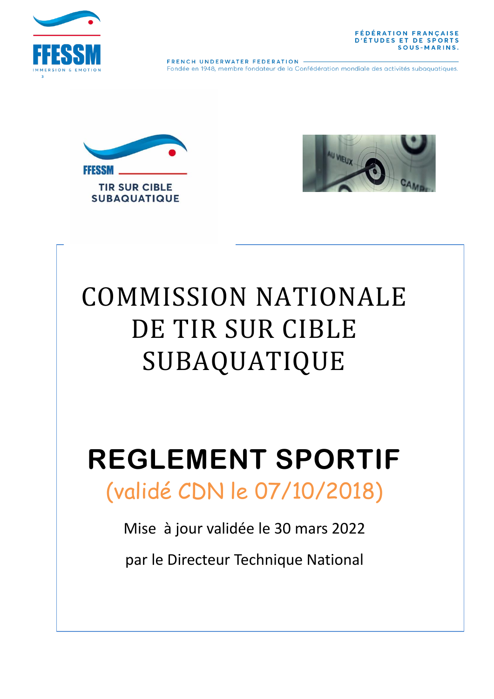



FRENCH UNDERWATER FEDERATION Fondée en 1948, membre fondateur de la Confédération mondiale des activités subaquatiques.





# COMMISSION NATIONALE DE TIR SUR CIBLE SUBAQUATIQUE

# **REGLEMENT SPORTIF** (validé CDN le 07/10/2018)

Mise à jour validée le 30 mars 2022

par le Directeur Technique National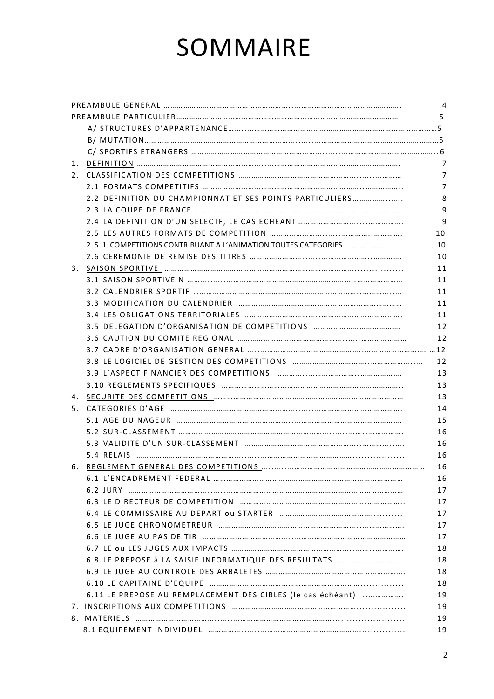# SOMMAIRE

| 2.2 DEFINITION DU CHAMPIONNAT ET SES POINTS PARTICULIERS                          |    |
|-----------------------------------------------------------------------------------|----|
|                                                                                   |    |
|                                                                                   |    |
|                                                                                   |    |
| 2.5.1 COMPETITIONS CONTRIBUANT A L'ANIMATION TOUTES CATEGORIES                    | 10 |
|                                                                                   |    |
|                                                                                   |    |
|                                                                                   |    |
|                                                                                   |    |
|                                                                                   |    |
|                                                                                   |    |
| 3.5 DELEGATION D'ORGANISATION DE COMPETITIONS                                     |    |
|                                                                                   |    |
|                                                                                   |    |
|                                                                                   |    |
|                                                                                   |    |
|                                                                                   |    |
|                                                                                   |    |
| 5. CATEGORIES D'AGE ………………………………………………………………………………………                             |    |
| 5.1 AGE DU NAGEUR ……………………………………………………………………………………                                |    |
|                                                                                   |    |
|                                                                                   |    |
|                                                                                   |    |
|                                                                                   |    |
| 6.1 L'ENCADREMENT FEDERAL …………………………………………………………………………                            |    |
|                                                                                   |    |
|                                                                                   |    |
|                                                                                   |    |
|                                                                                   |    |
| 6.6 LE JUGE AU PAS DE TIR monogrammana manufactura manufactura manufactura        |    |
| 6.7 LE OU LES JUGES AUX IMPACTS www.www.www.www.www.www.www.www.ww                |    |
|                                                                                   |    |
|                                                                                   |    |
|                                                                                   |    |
| 6.11 LE PREPOSE AU REMPLACEMENT DES CIBLES (le cas échéant)                       |    |
| 7. INSCRIPTIONS AUX COMPETITIONS Manual Communication Communication Communication |    |
|                                                                                   |    |
|                                                                                   |    |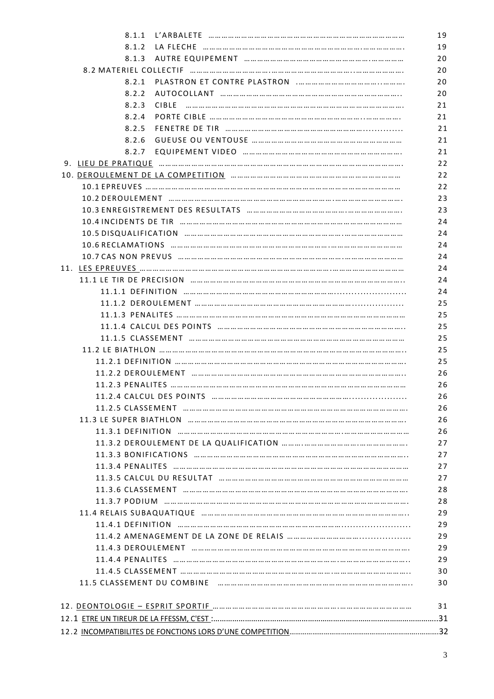|       | 8.1.1 L'ARBALETE …………………………………………………………………………                                      | 19       |
|-------|------------------------------------------------------------------------------------|----------|
| 8.1.2 | LA FLECHE …………………………………………………………………………                                             | 19       |
|       |                                                                                    | 20       |
|       |                                                                                    | 20       |
| 8.2.1 |                                                                                    | 20       |
| 8.2.2 | AUTOCOLLANT ………………………………………………………………………                                            | 20       |
| 8.2.3 |                                                                                    | 21       |
| 8.2.4 |                                                                                    | 21       |
| 8.2.5 | FENETRE DE TIR month months in the months in the manufacture of the FENETRE DE TIR | 21       |
| 8.2.6 |                                                                                    | 21       |
|       |                                                                                    | 21       |
|       | 9. LIEU DE PRATIQUE ……………………………………………………………………………………………                            | 22       |
|       |                                                                                    | 22       |
|       |                                                                                    | 22       |
|       | 10.2 DEROULEMENT …………………………………………………………………………………………                                | 23       |
|       |                                                                                    | 23       |
|       | 10.4 INCIDENTS DE TIR ……………………………………………………………………………………                             | 24       |
|       |                                                                                    | 24       |
|       | 10.6 RECLAMATIONS ………………………………………………………………………………………                                | 24       |
|       | 10.7 CAS NON PREVUS ……………………………………………………………………………………                               | 24       |
|       |                                                                                    | 24       |
|       | 11.1 LE TIR DE PRECISION ……………………………………………………………………………………                          | 24       |
|       | 11.1.1 DEFINITION ……………………………………………………………………………………                                 | 24       |
|       | 11.1.2 DEROULEMENT ………………………………………………………………………………                                  | 25       |
|       | 11.1.3 PENALITES …………………………………………………………………………………………                                |          |
|       | 11.1.4 CALCUL DES POINTS …………………………………………………………………………                              | 25       |
|       |                                                                                    | 25       |
|       | 11.1.5 CLASSEMENT …………………………………………………………………………………                                  | 25<br>25 |
|       |                                                                                    | 25       |
|       | 11.2.1 DEFINITION ……………………………………………………………………………………………                              | 26       |
|       | 11.2.2 DEROULEMENT …………………………………………………………………………………                                 |          |
|       | 11.2.3 PENALITES …………………………………………………………………………………………                                | 26       |
|       | 11.2.4 CALCUL DES POINTS montain montain montain montain montain contract of the S | 26<br>26 |
|       | 11.2.5 CLASSEMENT ……………………………………………………………………………………                                 |          |
|       | 11.3 LE SUPER BIATHLON ……………………………………………………………………………………                            | 26<br>26 |
|       |                                                                                    | 27       |
|       |                                                                                    |          |
|       | 11.3.3 BONIFICATIONS ……………………………………………………………………………………                              |          |
|       |                                                                                    |          |
|       |                                                                                    |          |
|       | 11.3.6 CLASSEMENT ………………………………………………………………………………………                                |          |
|       |                                                                                    |          |
|       |                                                                                    |          |
|       |                                                                                    |          |
|       |                                                                                    | 29       |
|       | 11.4.3 DEROULEMENT …………………………………………………………………………………                                 | 29       |
|       |                                                                                    | 29       |
|       | 11.4.5 CLASSEMENT …………………………………………………………………………………………                               | 30       |
|       | 11.5 CLASSEMENT DU COMBINE ………………………………………………………………………………                          | 30       |
|       |                                                                                    | 31       |
|       |                                                                                    |          |
|       |                                                                                    |          |
|       |                                                                                    |          |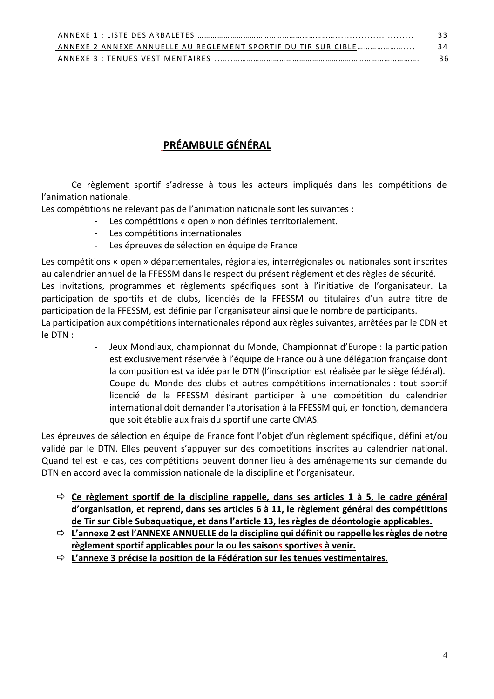| ANNEXE 1 : LISTE DES ARBALETES                                                                                                                  |    |
|-------------------------------------------------------------------------------------------------------------------------------------------------|----|
| ANNEXE 2 ANNEXE ANNUELLE AU REGLEMENT SPORTIF DU TIR SUR CIBLE                                                                                  | 24 |
| ANNEXE 3 : TENUES VESTIMENTAIRES<br>,,, ,,, ,,, ,,, ,,, ,,, ,,, ,,, ,,, ,,, ,,, ,,, ,,, ,,, ,,, ,,, ,,, ,,, ,,, ,,, ,,, ,,, ,,, ,,, ,,, ,,, ,,, |    |

# **PRÉAMBULE GÉNÉRAL**

Ce règlement sportif s'adresse à tous les acteurs impliqués dans les compétitions de l'animation nationale.

Les compétitions ne relevant pas de l'animation nationale sont les suivantes :

- Les compétitions « open » non définies territorialement.
- Les compétitions internationales
- Les épreuves de sélection en équipe de France

Les compétitions « open » départementales, régionales, interrégionales ou nationales sont inscrites au calendrier annuel de la FFESSM dans le respect du présent règlement et des règles de sécurité. Les invitations, programmes et règlements spécifiques sont à l'initiative de l'organisateur. La participation de sportifs et de clubs, licenciés de la FFESSM ou titulaires d'un autre titre de participation de la FFESSM, est définie par l'organisateur ainsi que le nombre de participants. La participation aux compétitions internationales répond aux règles suivantes, arrêtées par le CDN et le DTN :

- Jeux Mondiaux, championnat du Monde, Championnat d'Europe : la participation est exclusivement réservée à l'équipe de France ou à une délégation française dont la composition est validée par le DTN (l'inscription est réalisée par le siège fédéral).
- Coupe du Monde des clubs et autres compétitions internationales : tout sportif licencié de la FFESSM désirant participer à une compétition du calendrier international doit demander l'autorisation à la FFESSM qui, en fonction, demandera que soit établie aux frais du sportif une carte CMAS.

Les épreuves de sélection en équipe de France font l'objet d'un règlement spécifique, défini et/ou validé par le DTN. Elles peuvent s'appuyer sur des compétitions inscrites au calendrier national. Quand tel est le cas, ces compétitions peuvent donner lieu à des aménagements sur demande du DTN en accord avec la commission nationale de la discipline et l'organisateur.

- **Ce règlement sportif de la discipline rappelle, dans ses articles 1 à 5, le cadre général d'organisation, et reprend, dans ses articles 6 à 11, le règlement général des compétitions de Tir sur Cible Subaquatique, et dans l'article 13, les règles de déontologie applicables.**
- **L'annexe 2 est l'ANNEXE ANNUELLE de la discipline qui définit ou rappelle les règles de notre règlement sportif applicables pour la ou les saisons sportives à venir.**
- **L'annexe 3 précise la position de la Fédération sur les tenues vestimentaires.**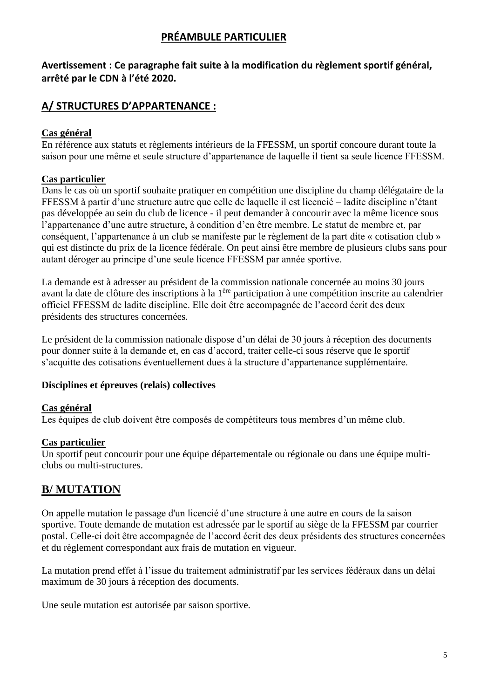# **PRÉAMBULE PARTICULIER**

# **Avertissement : Ce paragraphe fait suite à la modification du règlement sportif général, arrêté par le CDN à l'été 2020.**

# **A/ STRUCTURES D'APPARTENANCE :**

# **Cas général**

En référence aux statuts et règlements intérieurs de la FFESSM, un sportif concoure durant toute la saison pour une même et seule structure d'appartenance de laquelle il tient sa seule licence FFESSM.

# **Cas particulier**

Dans le cas où un sportif souhaite pratiquer en compétition une discipline du champ délégataire de la FFESSM à partir d'une structure autre que celle de laquelle il est licencié – ladite discipline n'étant pas développée au sein du club de licence - il peut demander à concourir avec la même licence sous l'appartenance d'une autre structure, à condition d'en être membre. Le statut de membre et, par conséquent, l'appartenance à un club se manifeste par le règlement de la part dite « cotisation club » qui est distincte du prix de la licence fédérale. On peut ainsi être membre de plusieurs clubs sans pour autant déroger au principe d'une seule licence FFESSM par année sportive.

La demande est à adresser au président de la commission nationale concernée au moins 30 jours avant la date de clôture des inscriptions à la 1ère participation à une compétition inscrite au calendrier officiel FFESSM de ladite discipline. Elle doit être accompagnée de l'accord écrit des deux présidents des structures concernées.

Le président de la commission nationale dispose d'un délai de 30 jours à réception des documents pour donner suite à la demande et, en cas d'accord, traiter celle-ci sous réserve que le sportif s'acquitte des cotisations éventuellement dues à la structure d'appartenance supplémentaire.

# **Disciplines et épreuves (relais) collectives**

# **Cas général**

Les équipes de club doivent être composés de compétiteurs tous membres d'un même club.

# **Cas particulier**

Un sportif peut concourir pour une équipe départementale ou régionale ou dans une équipe multiclubs ou multi-structures.

# **B/ MUTATION**

On appelle mutation le passage d'un licencié d'une structure à une autre en cours de la saison sportive. Toute demande de mutation est adressée par le sportif au siège de la FFESSM par courrier postal. Celle-ci doit être accompagnée de l'accord écrit des deux présidents des structures concernées et du règlement correspondant aux frais de mutation en vigueur.

La mutation prend effet à l'issue du traitement administratif par les services fédéraux dans un délai maximum de 30 jours à réception des documents.

Une seule mutation est autorisée par saison sportive.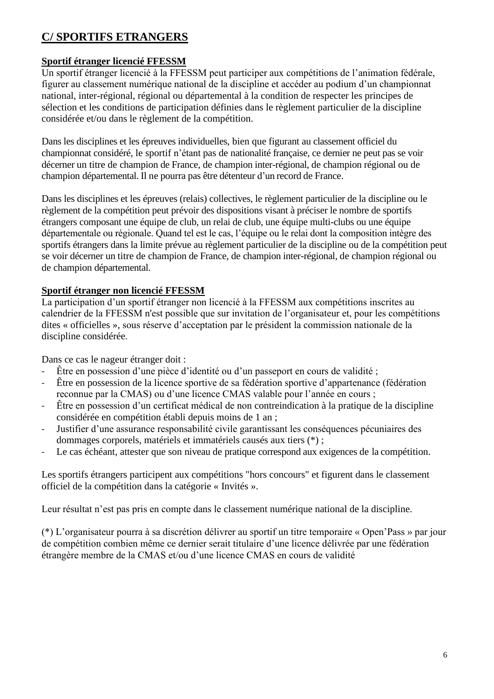# **C/ SPORTIFS ETRANGERS**

# **Sportif étranger licencié FFESSM**

Un sportif étranger licencié à la FFESSM peut participer aux compétitions de l'animation fédérale, figurer au classement numérique national de la discipline et accéder au podium d'un championnat national, inter-régional, régional ou départemental à la condition de respecter les principes de sélection et les conditions de participation définies dans le règlement particulier de la discipline considérée et/ou dans le règlement de la compétition.

Dans les disciplines et les épreuves individuelles, bien que figurant au classement officiel du championnat considéré, le sportif n'étant pas de nationalité française, ce dernier ne peut pas se voir décerner un titre de champion de France, de champion inter-régional, de champion régional ou de champion départemental. Il ne pourra pas être détenteur d'un record de France.

Dans les disciplines et les épreuves (relais) collectives, le règlement particulier de la discipline ou le règlement de la compétition peut prévoir des dispositions visant à préciser le nombre de sportifs étrangers composant une équipe de club, un relai de club, une équipe multi-clubs ou une équipe départementale ou régionale. Quand tel est le cas, l'équipe ou le relai dont la composition intègre des sportifs étrangers dans la limite prévue au règlement particulier de la discipline ou de la compétition peut se voir décerner un titre de champion de France, de champion inter-régional, de champion régional ou de champion départemental.

# **Sportif étranger non licencié FFESSM**

La participation d'un sportif étranger non licencié à la FFESSM aux compétitions inscrites au calendrier de la FFESSM n'est possible que sur invitation de l'organisateur et, pour les compétitions dites « officielles », sous réserve d'acceptation par le président la commission nationale de la discipline considérée.

Dans ce cas le nageur étranger doit :

- Être en possession d'une pièce d'identité ou d'un passeport en cours de validité ;
- Être en possession de la licence sportive de sa fédération sportive d'appartenance (fédération reconnue par la CMAS) ou d'une licence CMAS valable pour l'année en cours ;
- Être en possession d'un certificat médical de non contreindication à la pratique de la discipline considérée en compétition établi depuis moins de 1 an ;
- Justifier d'une assurance responsabilité civile garantissant les conséquences pécuniaires des dommages corporels, matériels et immatériels causés aux tiers (\*) ;
- Le cas échéant, attester que son niveau de pratique correspond aux exigences de la compétition.

Les sportifs étrangers participent aux compétitions "hors concours" et figurent dans le classement officiel de la compétition dans la catégorie « Invités ».

Leur résultat n'est pas pris en compte dans le classement numérique national de la discipline.

(\*) L'organisateur pourra à sa discrétion délivrer au sportif un titre temporaire « Open'Pass » par jour de compétition combien même ce dernier serait titulaire d'une licence délivrée par une fédération étrangère membre de la CMAS et/ou d'une licence CMAS en cours de validité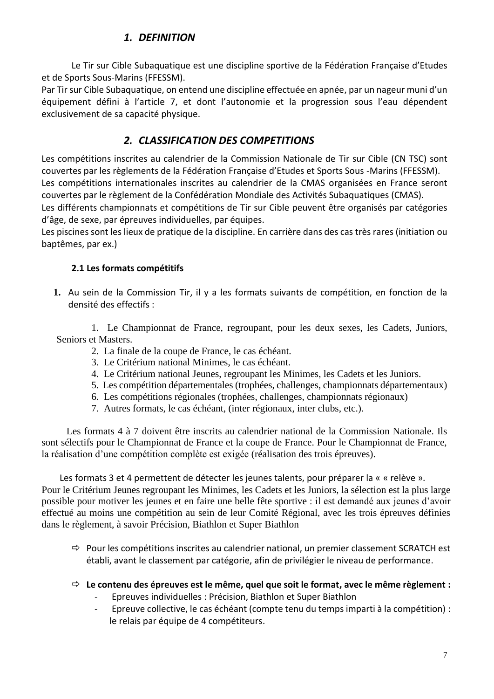# *1. DEFINITION*

Le Tir sur Cible Subaquatique est une discipline sportive de la Fédération Française d'Etudes et de Sports Sous-Marins (FFESSM).

Par Tir sur Cible Subaquatique, on entend une discipline effectuée en apnée, par un nageur muni d'un équipement défini à l'article 7, et dont l'autonomie et la progression sous l'eau dépendent exclusivement de sa capacité physique.

# *2. CLASSIFICATION DES COMPETITIONS*

Les compétitions inscrites au calendrier de la Commission Nationale de Tir sur Cible (CN TSC) sont couvertes par les règlements de la Fédération Française d'Etudes et Sports Sous -Marins (FFESSM). Les compétitions internationales inscrites au calendrier de la CMAS organisées en France seront couvertes par le règlement de la Confédération Mondiale des Activités Subaquatiques (CMAS). Les différents championnats et compétitions de Tir sur Cible peuvent être organisés par catégories

d'âge, de sexe, par épreuves individuelles, par équipes.

Les piscines sont les lieux de pratique de la discipline. En carrière dans des cas très rares (initiation ou baptêmes, par ex.)

# **2.1 Les formats compétitifs**

**1.** Au sein de la Commission Tir, il y a les formats suivants de compétition, en fonction de la densité des effectifs :

 1. Le Championnat de France, regroupant, pour les deux sexes, les Cadets, Juniors, Seniors et Masters.

- 2. La finale de la coupe de France, le cas échéant.
- 3. Le Critérium national Minimes, le cas échéant.
- 4. Le Critérium national Jeunes, regroupant les Minimes, les Cadets et les Juniors.
- 5. Les compétition départementales (trophées, challenges, championnats départementaux)
- 6. Les compétitions régionales (trophées, challenges, championnats régionaux)
- 7. Autres formats, le cas échéant, (inter régionaux, inter clubs, etc.).

 Les formats 4 à 7 doivent être inscrits au calendrier national de la Commission Nationale. Ils sont sélectifs pour le Championnat de France et la coupe de France. Pour le Championnat de France, la réalisation d'une compétition complète est exigée (réalisation des trois épreuves).

Les formats 3 et 4 permettent de détecter les jeunes talents, pour préparer la « « relève ». Pour le Critérium Jeunes regroupant les Minimes, les Cadets et les Juniors, la sélection est la plus large possible pour motiver les jeunes et en faire une belle fête sportive : il est demandé aux jeunes d'avoir effectué au moins une compétition au sein de leur Comité Régional, avec les trois épreuves définies dans le règlement, à savoir Précision, Biathlon et Super Biathlon

- $\Rightarrow$  Pour les compétitions inscrites au calendrier national, un premier classement SCRATCH est établi, avant le classement par catégorie, afin de privilégier le niveau de performance.
- **Le contenu des épreuves est le même, quel que soit le format, avec le même règlement :** 
	- Epreuves individuelles : Précision, Biathlon et Super Biathlon
	- Epreuve collective, le cas échéant (compte tenu du temps imparti à la compétition) : le relais par équipe de 4 compétiteurs.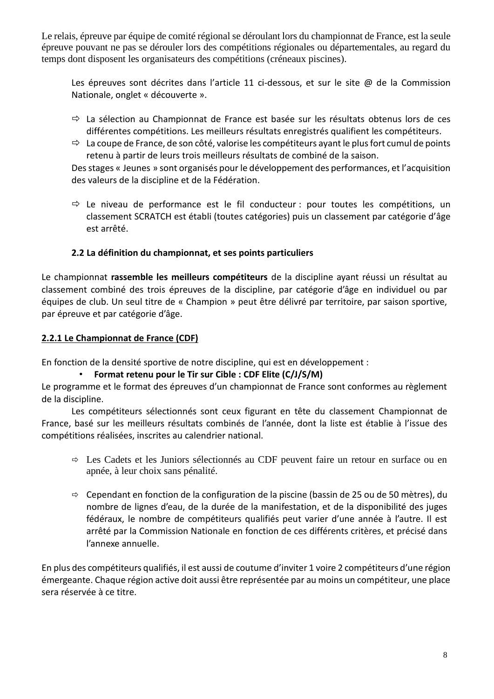Le relais, épreuve par équipe de comité régional se déroulant lors du championnat de France, est la seule épreuve pouvant ne pas se dérouler lors des compétitions régionales ou départementales, au regard du temps dont disposent les organisateurs des compétitions (créneaux piscines).

Les épreuves sont décrites dans l'article 11 ci-dessous, et sur le site @ de la Commission Nationale, onglet « découverte ».

- $\Rightarrow$  La sélection au Championnat de France est basée sur les résultats obtenus lors de ces différentes compétitions. Les meilleurs résultats enregistrés qualifient les compétiteurs.
- $\Rightarrow$  La coupe de France, de son côté, valorise les compétiteurs ayant le plus fort cumul de points retenu à partir de leurs trois meilleurs résultats de combiné de la saison.

Des stages « Jeunes » sont organisés pour le développement des performances, et l'acquisition des valeurs de la discipline et de la Fédération.

 $\Rightarrow$  Le niveau de performance est le fil conducteur : pour toutes les compétitions, un classement SCRATCH est établi (toutes catégories) puis un classement par catégorie d'âge est arrêté.

#### **2.2 La définition du championnat, et ses points particuliers**

Le championnat **rassemble les meilleurs compétiteurs** de la discipline ayant réussi un résultat au classement combiné des trois épreuves de la discipline, par catégorie d'âge en individuel ou par équipes de club. Un seul titre de « Champion » peut être délivré par territoire, par saison sportive, par épreuve et par catégorie d'âge.

#### **2.2.1 Le Championnat de France (CDF)**

En fonction de la densité sportive de notre discipline, qui est en développement :

#### • **Format retenu pour le Tir sur Cible : CDF Elite (C/J/S/M)**

Le programme et le format des épreuves d'un championnat de France sont conformes au règlement de la discipline.

Les compétiteurs sélectionnés sont ceux figurant en tête du classement Championnat de France, basé sur les meilleurs résultats combinés de l'année, dont la liste est établie à l'issue des compétitions réalisées, inscrites au calendrier national.

- Les Cadets et les Juniors sélectionnés au CDF peuvent faire un retour en surface ou en apnée, à leur choix sans pénalité.
- $\Rightarrow$  Cependant en fonction de la configuration de la piscine (bassin de 25 ou de 50 mètres), du nombre de lignes d'eau, de la durée de la manifestation, et de la disponibilité des juges fédéraux, le nombre de compétiteurs qualifiés peut varier d'une année à l'autre. Il est arrêté par la Commission Nationale en fonction de ces différents critères, et précisé dans l'annexe annuelle.

En plus des compétiteurs qualifiés, il est aussi de coutume d'inviter 1 voire 2 compétiteurs d'une région émergeante. Chaque région active doit aussi être représentée par au moins un compétiteur, une place sera réservée à ce titre.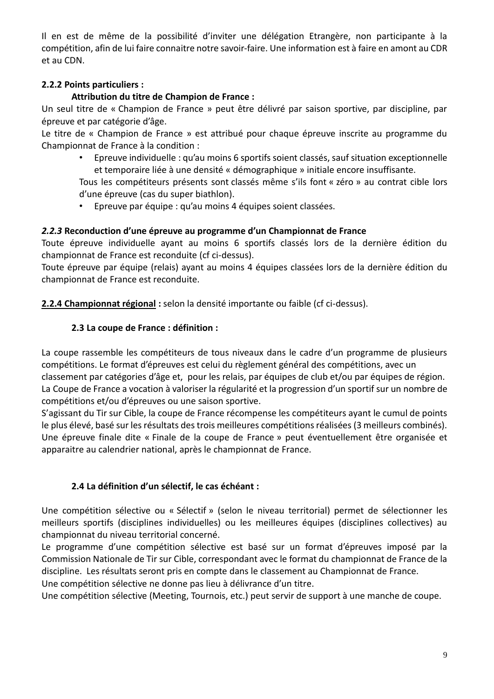Il en est de même de la possibilité d'inviter une délégation Etrangère, non participante à la compétition, afin de lui faire connaitre notre savoir-faire. Une information est à faire en amont au CDR et au CDN.

# **2.2.2 Points particuliers :**

# **Attribution du titre de Champion de France :**

Un seul titre de « Champion de France » peut être délivré par saison sportive, par discipline, par épreuve et par catégorie d'âge.

Le titre de « Champion de France » est attribué pour chaque épreuve inscrite au programme du Championnat de France à la condition :

• Epreuve individuelle : qu'au moins 6 sportifs soient classés, sauf situation exceptionnelle et temporaire liée à une densité « démographique » initiale encore insuffisante.

Tous les compétiteurs présents sont classés même s'ils font « zéro » au contrat cible lors d'une épreuve (cas du super biathlon).

• Epreuve par équipe : qu'au moins 4 équipes soient classées.

# *2.2.3* **Reconduction d'une épreuve au programme d'un Championnat de France**

Toute épreuve individuelle ayant au moins 6 sportifs classés lors de la dernière édition du championnat de France est reconduite (cf ci-dessus).

Toute épreuve par équipe (relais) ayant au moins 4 équipes classées lors de la dernière édition du championnat de France est reconduite.

**2.2.4 Championnat régional :** selon la densité importante ou faible (cf ci-dessus).

# **2.3 La coupe de France : définition :**

La coupe rassemble les compétiteurs de tous niveaux dans le cadre d'un programme de plusieurs compétitions. Le format d'épreuves est celui du règlement général des compétitions, avec un classement par catégories d'âge et, pour les relais, par équipes de club et/ou par équipes de région. La Coupe de France a vocation à valoriser la régularité et la progression d'un sportif sur un nombre de compétitions et/ou d'épreuves ou une saison sportive.

S'agissant du Tir sur Cible, la coupe de France récompense les compétiteurs ayant le cumul de points le plus élevé, basé sur les résultats des trois meilleures compétitions réalisées (3 meilleurs combinés). Une épreuve finale dite « Finale de la coupe de France » peut éventuellement être organisée et apparaitre au calendrier national, après le championnat de France.

# **2.4 La définition d'un sélectif, le cas échéant :**

Une compétition sélective ou « Sélectif » (selon le niveau territorial) permet de sélectionner les meilleurs sportifs (disciplines individuelles) ou les meilleures équipes (disciplines collectives) au championnat du niveau territorial concerné.

Le programme d'une compétition sélective est basé sur un format d'épreuves imposé par la Commission Nationale de Tir sur Cible, correspondant avec le format du championnat de France de la discipline. Les résultats seront pris en compte dans le classement au Championnat de France.

Une compétition sélective ne donne pas lieu à délivrance d'un titre.

Une compétition sélective (Meeting, Tournois, etc.) peut servir de support à une manche de coupe.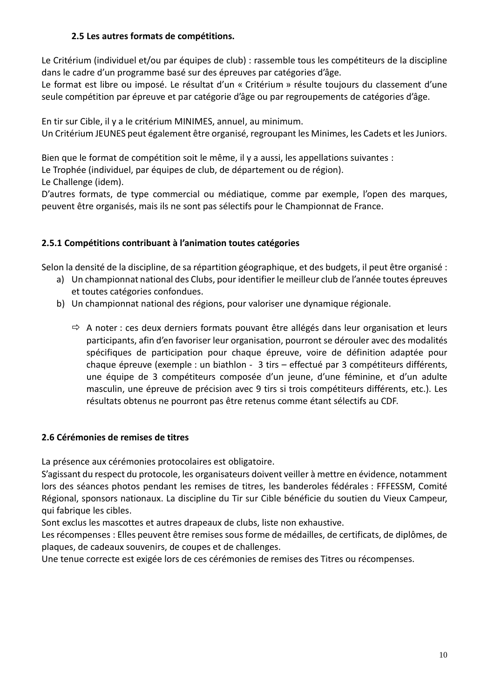#### **2.5 Les autres formats de compétitions.**

Le Critérium (individuel et/ou par équipes de club) : rassemble tous les compétiteurs de la discipline dans le cadre d'un programme basé sur des épreuves par catégories d'âge.

Le format est libre ou imposé. Le résultat d'un « Critérium » résulte toujours du classement d'une seule compétition par épreuve et par catégorie d'âge ou par regroupements de catégories d'âge.

En tir sur Cible, il y a le critérium MINIMES, annuel, au minimum.

Un Critérium JEUNES peut également être organisé, regroupant les Minimes, les Cadets et les Juniors.

Bien que le format de compétition soit le même, il y a aussi, les appellations suivantes :

Le Trophée (individuel, par équipes de club, de département ou de région).

Le Challenge (idem).

D'autres formats, de type commercial ou médiatique, comme par exemple, l'open des marques, peuvent être organisés, mais ils ne sont pas sélectifs pour le Championnat de France.

# **2.5.1 Compétitions contribuant à l'animation toutes catégories**

Selon la densité de la discipline, de sa répartition géographique, et des budgets, il peut être organisé :

- a) Un championnat national des Clubs, pour identifier le meilleur club de l'année toutes épreuves et toutes catégories confondues.
- b) Un championnat national des régions, pour valoriser une dynamique régionale.
	- $\Rightarrow$  A noter : ces deux derniers formats pouvant être allégés dans leur organisation et leurs participants, afin d'en favoriser leur organisation, pourront se dérouler avec des modalités spécifiques de participation pour chaque épreuve, voire de définition adaptée pour chaque épreuve (exemple : un biathlon - 3 tirs – effectué par 3 compétiteurs différents, une équipe de 3 compétiteurs composée d'un jeune, d'une féminine, et d'un adulte masculin, une épreuve de précision avec 9 tirs si trois compétiteurs différents, etc.). Les résultats obtenus ne pourront pas être retenus comme étant sélectifs au CDF.

# **2.6 Cérémonies de remises de titres**

La présence aux cérémonies protocolaires est obligatoire.

S'agissant du respect du protocole, les organisateurs doivent veiller à mettre en évidence, notamment lors des séances photos pendant les remises de titres, les banderoles fédérales : FFFESSM, Comité Régional, sponsors nationaux. La discipline du Tir sur Cible bénéficie du soutien du Vieux Campeur, qui fabrique les cibles.

Sont exclus les mascottes et autres drapeaux de clubs, liste non exhaustive.

Les récompenses : Elles peuvent être remises sous forme de médailles, de certificats, de diplômes, de plaques, de cadeaux souvenirs, de coupes et de challenges.

Une tenue correcte est exigée lors de ces cérémonies de remises des Titres ou récompenses.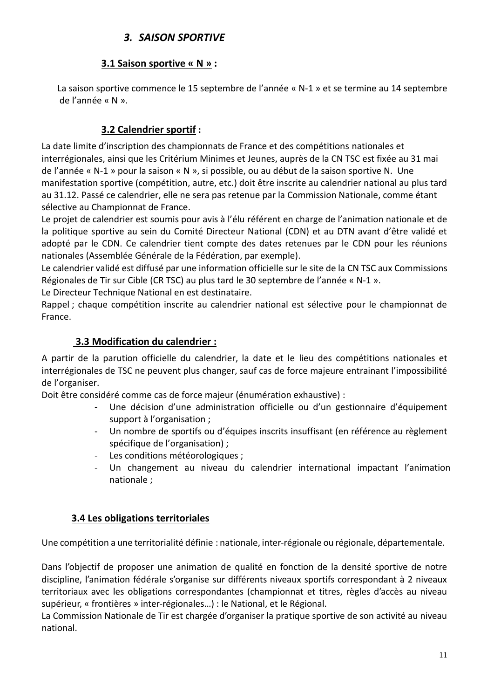# *3. SAISON SPORTIVE*

# **3.1 Saison sportive « N » :**

 La saison sportive commence le 15 septembre de l'année « N-1 » et se termine au 14 septembre de l'année « N ».

# **3.2 Calendrier sportif :**

La date limite d'inscription des championnats de France et des compétitions nationales et interrégionales, ainsi que les Critérium Minimes et Jeunes, auprès de la CN TSC est fixée au 31 mai de l'année « N-1 » pour la saison « N », si possible, ou au début de la saison sportive N. Une manifestation sportive (compétition, autre, etc.) doit être inscrite au calendrier national au plus tard au 31.12. Passé ce calendrier, elle ne sera pas retenue par la Commission Nationale, comme étant sélective au Championnat de France.

Le projet de calendrier est soumis pour avis à l'élu référent en charge de l'animation nationale et de la politique sportive au sein du Comité Directeur National (CDN) et au DTN avant d'être validé et adopté par le CDN. Ce calendrier tient compte des dates retenues par le CDN pour les réunions nationales (Assemblée Générale de la Fédération, par exemple).

Le calendrier validé est diffusé par une information officielle sur le site de la CN TSC aux Commissions Régionales de Tir sur Cible (CR TSC) au plus tard le 30 septembre de l'année « N-1 ».

Le Directeur Technique National en est destinataire.

Rappel ; chaque compétition inscrite au calendrier national est sélective pour le championnat de France.

# **3.3 Modification du calendrier :**

A partir de la parution officielle du calendrier, la date et le lieu des compétitions nationales et interrégionales de TSC ne peuvent plus changer, sauf cas de force majeure entrainant l'impossibilité de l'organiser.

Doit être considéré comme cas de force majeur (énumération exhaustive) :

- Une décision d'une administration officielle ou d'un gestionnaire d'équipement support à l'organisation ;
- Un nombre de sportifs ou d'équipes inscrits insuffisant (en référence au règlement spécifique de l'organisation) ;
- Les conditions météorologiques ;
- Un changement au niveau du calendrier international impactant l'animation nationale ;

# **3.4 Les obligations territoriales**

Une compétition a une territorialité définie : nationale, inter-régionale ou régionale, départementale.

Dans l'objectif de proposer une animation de qualité en fonction de la densité sportive de notre discipline, l'animation fédérale s'organise sur différents niveaux sportifs correspondant à 2 niveaux territoriaux avec les obligations correspondantes (championnat et titres, règles d'accès au niveau supérieur, « frontières » inter-régionales…) : le National, et le Régional.

La Commission Nationale de Tir est chargée d'organiser la pratique sportive de son activité au niveau national.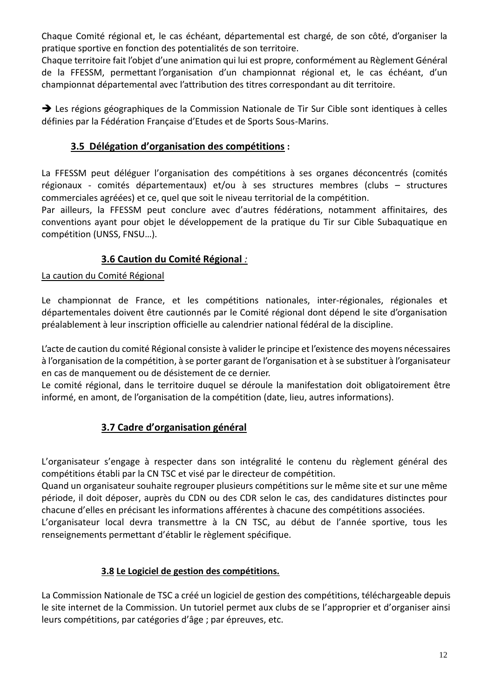Chaque Comité régional et, le cas échéant, départemental est chargé, de son côté, d'organiser la pratique sportive en fonction des potentialités de son territoire.

Chaque territoire fait l'objet d'une animation qui lui est propre, conformément au Règlement Général de la FFESSM, permettant l'organisation d'un championnat régional et, le cas échéant, d'un championnat départemental avec l'attribution des titres correspondant au dit territoire.

→ Les régions géographiques de la Commission Nationale de Tir Sur Cible sont identiques à celles définies par la Fédération Française d'Etudes et de Sports Sous-Marins.

# **3.5 Délégation d'organisation des compétitions :**

La FFESSM peut déléguer l'organisation des compétitions à ses organes déconcentrés (comités régionaux - comités départementaux) et/ou à ses structures membres (clubs – structures commerciales agréées) et ce, quel que soit le niveau territorial de la compétition.

Par ailleurs, la FFESSM peut conclure avec d'autres fédérations, notamment affinitaires, des conventions ayant pour objet le développement de la pratique du Tir sur Cible Subaquatique en compétition (UNSS, FNSU…).

# **3.6 Caution du Comité Régional** *:*

La caution du Comité Régional

Le championnat de France, et les compétitions nationales, inter-régionales, régionales et départementales doivent être cautionnés par le Comité régional dont dépend le site d'organisation préalablement à leur inscription officielle au calendrier national fédéral de la discipline.

L'acte de caution du comité Régional consiste à valider le principe et l'existence des moyens nécessaires à l'organisation de la compétition, à se porter garant de l'organisation et à se substituer à l'organisateur en cas de manquement ou de désistement de ce dernier.

Le comité régional, dans le territoire duquel se déroule la manifestation doit obligatoirement être informé, en amont, de l'organisation de la compétition (date, lieu, autres informations).

# **3.7 Cadre d'organisation général**

L'organisateur s'engage à respecter dans son intégralité le contenu du règlement général des compétitions établi par la CN TSC et visé par le directeur de compétition.

Quand un organisateur souhaite regrouper plusieurs compétitions sur le même site et sur une même période, il doit déposer, auprès du CDN ou des CDR selon le cas, des candidatures distinctes pour chacune d'elles en précisant les informations afférentes à chacune des compétitions associées.

L'organisateur local devra transmettre à la CN TSC, au début de l'année sportive, tous les renseignements permettant d'établir le règlement spécifique.

# **3.8 Le Logiciel de gestion des compétitions.**

La Commission Nationale de TSC a créé un logiciel de gestion des compétitions, téléchargeable depuis le site internet de la Commission. Un tutoriel permet aux clubs de se l'approprier et d'organiser ainsi leurs compétitions, par catégories d'âge ; par épreuves, etc.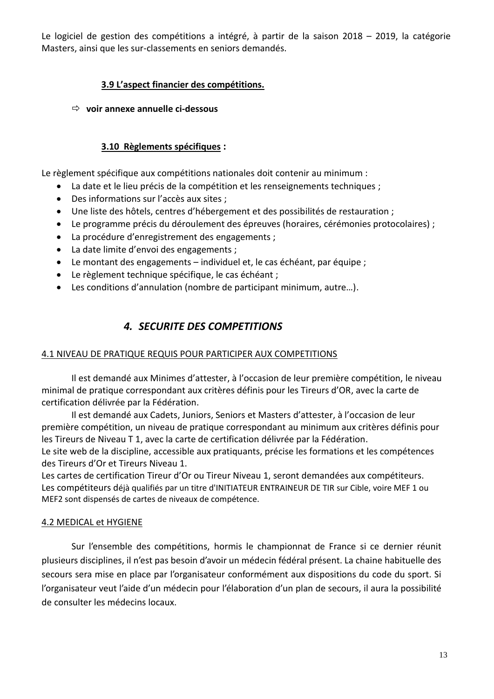Le logiciel de gestion des compétitions a intégré, à partir de la saison 2018 – 2019, la catégorie Masters, ainsi que les sur-classements en seniors demandés.

# **3.9 L'aspect financier des compétitions.**

#### **voir annexe annuelle ci-dessous**

#### **3.10 Règlements spécifiques :**

Le règlement spécifique aux compétitions nationales doit contenir au minimum :

- La date et le lieu précis de la compétition et les renseignements techniques ;
- Des informations sur l'accès aux sites ;
- Une liste des hôtels, centres d'hébergement et des possibilités de restauration ;
- Le programme précis du déroulement des épreuves (horaires, cérémonies protocolaires) ;
- La procédure d'enregistrement des engagements ;
- La date limite d'envoi des engagements ;
- Le montant des engagements individuel et, le cas échéant, par équipe ;
- Le règlement technique spécifique, le cas échéant ;
- Les conditions d'annulation (nombre de participant minimum, autre...).

# *4. SECURITE DES COMPETITIONS*

#### 4.1 NIVEAU DE PRATIQUE REQUIS POUR PARTICIPER AUX COMPETITIONS

Il est demandé aux Minimes d'attester, à l'occasion de leur première compétition, le niveau minimal de pratique correspondant aux critères définis pour les Tireurs d'OR, avec la carte de certification délivrée par la Fédération.

Il est demandé aux Cadets, Juniors, Seniors et Masters d'attester, à l'occasion de leur première compétition, un niveau de pratique correspondant au minimum aux critères définis pour les Tireurs de Niveau T 1, avec la carte de certification délivrée par la Fédération.

Le site web de la discipline, accessible aux pratiquants, précise les formations et les compétences des Tireurs d'Or et Tireurs Niveau 1.

Les cartes de certification Tireur d'Or ou Tireur Niveau 1, seront demandées aux compétiteurs. Les compétiteurs déjà qualifiés par un titre d'INITIATEUR ENTRAINEUR DE TIR sur Cible, voire MEF 1 ou MEF2 sont dispensés de cartes de niveaux de compétence.

#### 4.2 MEDICAL et HYGIENE

Sur l'ensemble des compétitions, hormis le championnat de France si ce dernier réunit plusieurs disciplines, il n'est pas besoin d'avoir un médecin fédéral présent. La chaine habituelle des secours sera mise en place par l'organisateur conformément aux dispositions du code du sport. Si l'organisateur veut l'aide d'un médecin pour l'élaboration d'un plan de secours, il aura la possibilité de consulter les médecins locaux.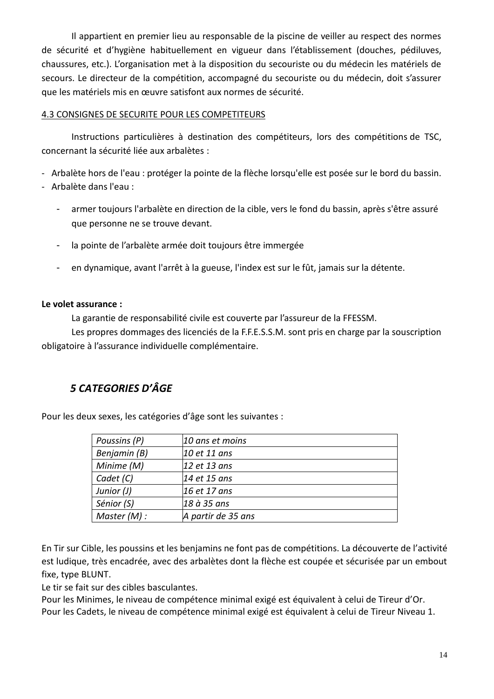Il appartient en premier lieu au responsable de la piscine de veiller au respect des normes de sécurité et d'hygiène habituellement en vigueur dans l'établissement (douches, pédiluves, chaussures, etc.). L'organisation met à la disposition du secouriste ou du médecin les matériels de secours. Le directeur de la compétition, accompagné du secouriste ou du médecin, doit s'assurer que les matériels mis en œuvre satisfont aux normes de sécurité.

#### 4.3 CONSIGNES DE SECURITE POUR LES COMPETITEURS

Instructions particulières à destination des compétiteurs, lors des compétitions de TSC, concernant la sécurité liée aux arbalètes :

- Arbalète hors de l'eau : protéger la pointe de la flèche lorsqu'elle est posée sur le bord du bassin.
- Arbalète dans l'eau :
	- armer toujours l'arbalète en direction de la cible, vers le fond du bassin, après s'être assuré que personne ne se trouve devant.
	- la pointe de l'arbalète armée doit toujours être immergée
	- en dynamique, avant l'arrêt à la gueuse, l'index est sur le fût, jamais sur la détente.

#### **Le volet assurance :**

La garantie de responsabilité civile est couverte par l'assureur de la FFESSM.

Les propres dommages des licenciés de la F.F.E.S.S.M. sont pris en charge par la souscription obligatoire à l'assurance individuelle complémentaire.

# *5 CATEGORIES D'ÂGE*

Pour les deux sexes, les catégories d'âge sont les suivantes :

| Poussins (P) | 10 ans et moins    |  |  |
|--------------|--------------------|--|--|
| Benjamin (B) | 10 et 11 ans       |  |  |
| Minime (M)   | 12 et 13 ans       |  |  |
| Cadet (C)    | 14 et 15 ans       |  |  |
| Junior (J)   | 16 et 17 ans       |  |  |
| Sénior (S)   | 18 à 35 ans        |  |  |
| Master (M):  | A partir de 35 ans |  |  |

En Tir sur Cible, les poussins et les benjamins ne font pas de compétitions. La découverte de l'activité est ludique, très encadrée, avec des arbalètes dont la flèche est coupée et sécurisée par un embout fixe, type BLUNT.

Le tir se fait sur des cibles basculantes.

Pour les Minimes, le niveau de compétence minimal exigé est équivalent à celui de Tireur d'Or. Pour les Cadets, le niveau de compétence minimal exigé est équivalent à celui de Tireur Niveau 1.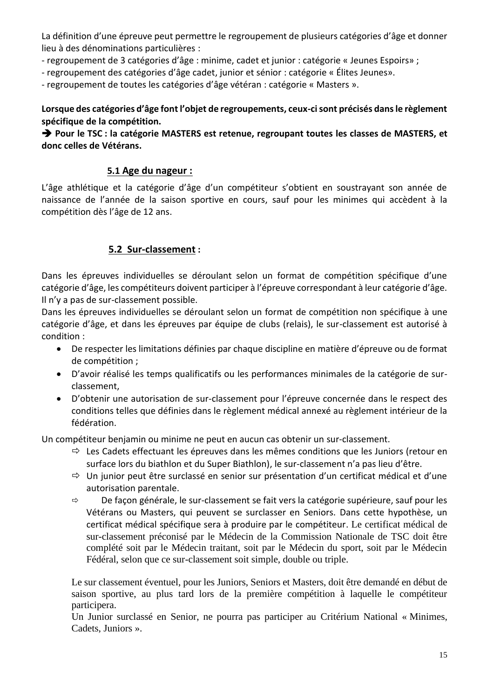La définition d'une épreuve peut permettre le regroupement de plusieurs catégories d'âge et donner lieu à des dénominations particulières :

- regroupement de 3 catégories d'âge : minime, cadet et junior : catégorie « Jeunes Espoirs» ;

- regroupement des catégories d'âge cadet, junior et sénior : catégorie « Élites Jeunes».

- regroupement de toutes les catégories d'âge vétéran : catégorie « Masters ».

**Lorsque des catégories d'âge font l'objet de regroupements, ceux-ci sont précisés dans le règlement spécifique de la compétition.**

➔ **Pour le TSC : la catégorie MASTERS est retenue, regroupant toutes les classes de MASTERS, et donc celles de Vétérans.**

#### **5.1 Age du nageur :**

L'âge athlétique et la catégorie d'âge d'un compétiteur s'obtient en soustrayant son année de naissance de l'année de la saison sportive en cours, sauf pour les minimes qui accèdent à la compétition dès l'âge de 12 ans.

#### **5.2 Sur-classement :**

Dans les épreuves individuelles se déroulant selon un format de compétition spécifique d'une catégorie d'âge, les compétiteurs doivent participer à l'épreuve correspondant à leur catégorie d'âge. Il n'y a pas de sur-classement possible.

Dans les épreuves individuelles se déroulant selon un format de compétition non spécifique à une catégorie d'âge, et dans les épreuves par équipe de clubs (relais), le sur-classement est autorisé à condition :

- De respecter les limitations définies par chaque discipline en matière d'épreuve ou de format de compétition ;
- D'avoir réalisé les temps qualificatifs ou les performances minimales de la catégorie de surclassement,
- D'obtenir une autorisation de sur-classement pour l'épreuve concernée dans le respect des conditions telles que définies dans le règlement médical annexé au règlement intérieur de la fédération.

Un compétiteur benjamin ou minime ne peut en aucun cas obtenir un sur-classement.

- $\Rightarrow$  Les Cadets effectuant les épreuves dans les mêmes conditions que les Juniors (retour en surface lors du biathlon et du Super Biathlon), le sur-classement n'a pas lieu d'être.
- $\Rightarrow$  Un junior peut être surclassé en senior sur présentation d'un certificat médical et d'une autorisation parentale.
- $\Rightarrow$  De façon générale, le sur-classement se fait vers la catégorie supérieure, sauf pour les Vétérans ou Masters, qui peuvent se surclasser en Seniors. Dans cette hypothèse, un certificat médical spécifique sera à produire par le compétiteur. Le certificat médical de sur-classement préconisé par le Médecin de la Commission Nationale de TSC doit être complété soit par le Médecin traitant, soit par le Médecin du sport, soit par le Médecin Fédéral, selon que ce sur-classement soit simple, double ou triple.

Le sur classement éventuel, pour les Juniors, Seniors et Masters, doit être demandé en début de saison sportive, au plus tard lors de la première compétition à laquelle le compétiteur participera.

Un Junior surclassé en Senior, ne pourra pas participer au Critérium National « Minimes, Cadets, Juniors ».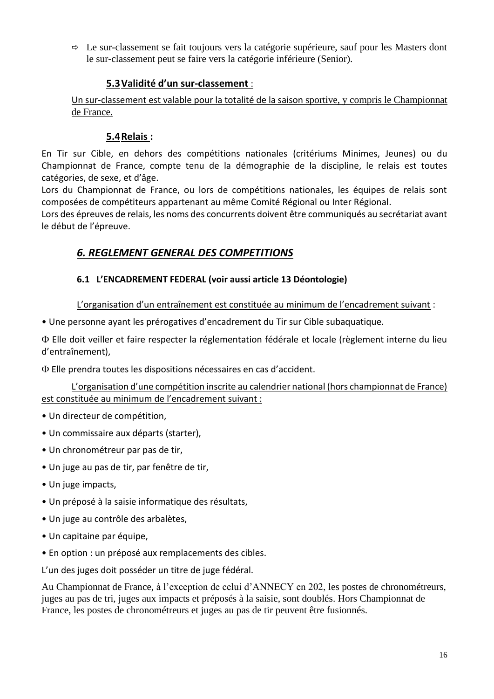$\Rightarrow$  Le sur-classement se fait toujours vers la catégorie supérieure, sauf pour les Masters dont le sur-classement peut se faire vers la catégorie inférieure (Senior).

# **5.3Validité d'un sur-classement** :

Un sur-classement est valable pour la totalité de la saison sportive, y compris le Championnat de France.

# **5.4Relais :**

En Tir sur Cible, en dehors des compétitions nationales (critériums Minimes, Jeunes) ou du Championnat de France, compte tenu de la démographie de la discipline, le relais est toutes catégories, de sexe, et d'âge.

Lors du Championnat de France, ou lors de compétitions nationales, les équipes de relais sont composées de compétiteurs appartenant au même Comité Régional ou Inter Régional.

Lors des épreuves de relais, les noms des concurrents doivent être communiqués au secrétariat avant le début de l'épreuve.

# *6. REGLEMENT GENERAL DES COMPETITIONS*

# **6.1 L'ENCADREMENT FEDERAL (voir aussi article 13 Déontologie)**

L'organisation d'un entraînement est constituée au minimum de l'encadrement suivant :

• Une personne ayant les prérogatives d'encadrement du Tir sur Cible subaquatique.

 Elle doit veiller et faire respecter la réglementation fédérale et locale (règlement interne du lieu d'entraînement),

Elle prendra toutes les dispositions nécessaires en cas d'accident.

L'organisation d'une compétition inscrite au calendrier national (hors championnat de France) est constituée au minimum de l'encadrement suivant :

- Un directeur de compétition,
- Un commissaire aux départs (starter),
- Un chronométreur par pas de tir,
- Un juge au pas de tir, par fenêtre de tir,
- Un juge impacts,
- Un préposé à la saisie informatique des résultats,
- Un juge au contrôle des arbalètes,
- Un capitaine par équipe,
- En option : un préposé aux remplacements des cibles.

L'un des juges doit posséder un titre de juge fédéral.

Au Championnat de France, à l'exception de celui d'ANNECY en 202, les postes de chronométreurs, juges au pas de tri, juges aux impacts et préposés à la saisie, sont doublés. Hors Championnat de France, les postes de chronométreurs et juges au pas de tir peuvent être fusionnés.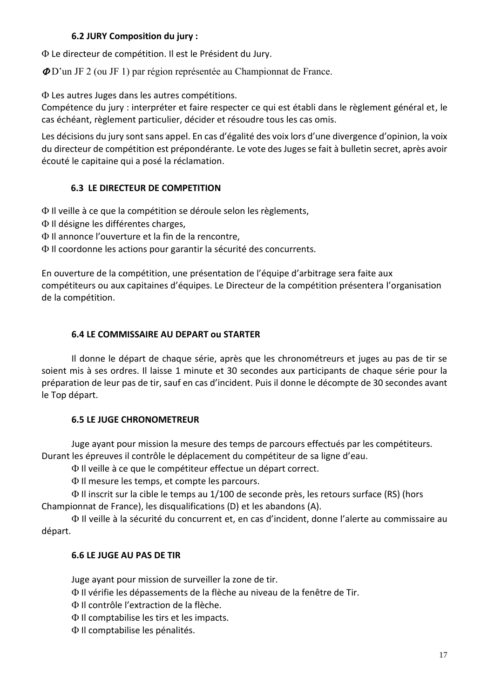#### **6.2 JURY Composition du jury :**

Le directeur de compétition. Il est le Président du Jury.

D'un JF 2 (ou JF 1) par région représentée au Championnat de France.

Les autres Juges dans les autres compétitions.

Compétence du jury : interpréter et faire respecter ce qui est établi dans le règlement général et, le cas échéant, règlement particulier, décider et résoudre tous les cas omis.

Les décisions du jury sont sans appel. En cas d'égalité des voix lors d'une divergence d'opinion, la voix du directeur de compétition est prépondérante. Le vote des Juges se fait à bulletin secret, après avoir écouté le capitaine qui a posé la réclamation.

#### **6.3 LE DIRECTEUR DE COMPETITION**

Il veille à ce que la compétition se déroule selon les règlements,

- $\Phi$  Il désigne les différentes charges,
- Il annonce l'ouverture et la fin de la rencontre,
- $\Phi$  Il coordonne les actions pour garantir la sécurité des concurrents.

En ouverture de la compétition, une présentation de l'équipe d'arbitrage sera faite aux compétiteurs ou aux capitaines d'équipes. Le Directeur de la compétition présentera l'organisation de la compétition.

#### **6.4 LE COMMISSAIRE AU DEPART ou STARTER**

Il donne le départ de chaque série, après que les chronométreurs et juges au pas de tir se soient mis à ses ordres. Il laisse 1 minute et 30 secondes aux participants de chaque série pour la préparation de leur pas de tir, sauf en cas d'incident. Puis il donne le décompte de 30 secondes avant le Top départ.

#### **6.5 LE JUGE CHRONOMETREUR**

Juge ayant pour mission la mesure des temps de parcours effectués par les compétiteurs. Durant les épreuves il contrôle le déplacement du compétiteur de sa ligne d'eau.

Il veille à ce que le compétiteur effectue un départ correct.

Il mesure les temps, et compte les parcours.

 Il inscrit sur la cible le temps au 1/100 de seconde près, les retours surface (RS) (hors Championnat de France), les disqualifications (D) et les abandons (A).

 Il veille à la sécurité du concurrent et, en cas d'incident, donne l'alerte au commissaire au départ.

#### **6.6 LE JUGE AU PAS DE TIR**

Juge ayant pour mission de surveiller la zone de tir.

Il vérifie les dépassements de la flèche au niveau de la fenêtre de Tir.

- Il contrôle l'extraction de la flèche.
- $\Phi$  Il comptabilise les tirs et les impacts.
- Il comptabilise les pénalités.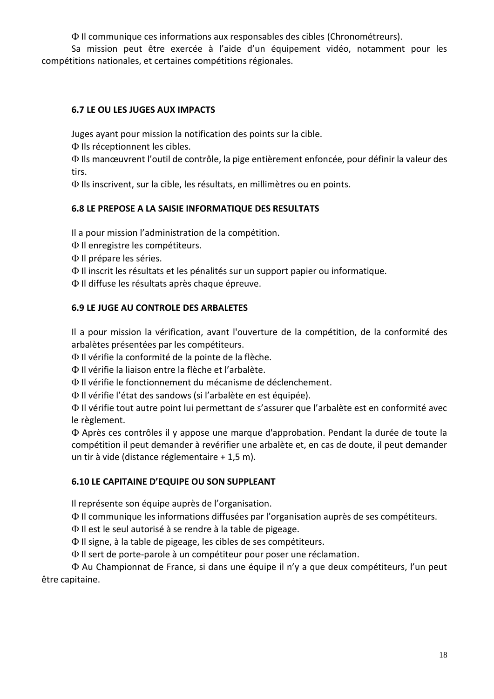Il communique ces informations aux responsables des cibles (Chronométreurs).

Sa mission peut être exercée à l'aide d'un équipement vidéo, notamment pour les compétitions nationales, et certaines compétitions régionales.

# **6.7 LE OU LES JUGES AUX IMPACTS**

Juges ayant pour mission la notification des points sur la cible.

 $\Phi$  Ils réceptionnent les cibles.

 Ils manœuvrent l'outil de contrôle, la pige entièrement enfoncée, pour définir la valeur des tirs.

Ils inscrivent, sur la cible, les résultats, en millimètres ou en points.

#### **6.8 LE PREPOSE A LA SAISIE INFORMATIQUE DES RESULTATS**

Il a pour mission l'administration de la compétition.

- $\Phi$  Il enregistre les compétiteurs.
- Il prépare les séries.
- Il inscrit les résultats et les pénalités sur un support papier ou informatique.
- Il diffuse les résultats après chaque épreuve.

#### **6.9 LE JUGE AU CONTROLE DES ARBALETES**

Il a pour mission la vérification, avant l'ouverture de la compétition, de la conformité des arbalètes présentées par les compétiteurs.

Il vérifie la conformité de la pointe de la flèche.

Il vérifie la liaison entre la flèche et l'arbalète.

Il vérifie le fonctionnement du mécanisme de déclenchement.

Il vérifie l'état des sandows (si l'arbalète en est équipée).

 Il vérifie tout autre point lui permettant de s'assurer que l'arbalète est en conformité avec le règlement.

 Après ces contrôles il y appose une marque d'approbation. Pendant la durée de toute la compétition il peut demander à revérifier une arbalète et, en cas de doute, il peut demander un tir à vide (distance réglementaire + 1,5 m).

#### **6.10 LE CAPITAINE D'EQUIPE OU SON SUPPLEANT**

Il représente son équipe auprès de l'organisation.

Il communique les informations diffusées par l'organisation auprès de ses compétiteurs.

Il est le seul autorisé à se rendre à la table de pigeage.

 $\Phi$  Il signe, à la table de pigeage, les cibles de ses compétiteurs.

Il sert de porte-parole à un compétiteur pour poser une réclamation.

 Au Championnat de France, si dans une équipe il n'y a que deux compétiteurs, l'un peut être capitaine.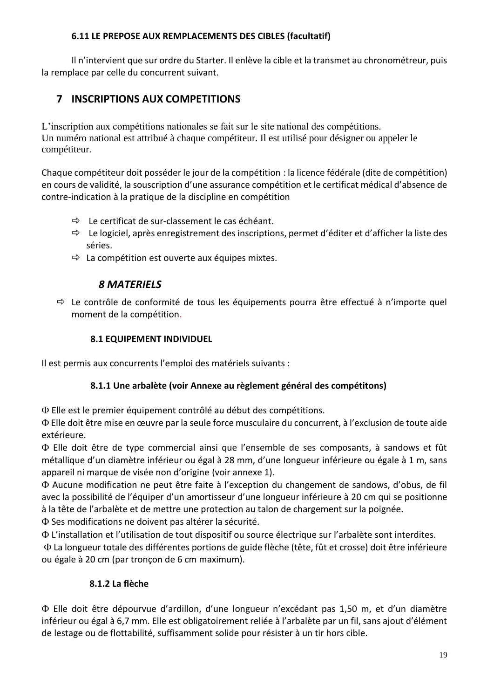#### **6.11 LE PREPOSE AUX REMPLACEMENTS DES CIBLES (facultatif)**

Il n'intervient que sur ordre du Starter. Il enlève la cible et la transmet au chronométreur, puis la remplace par celle du concurrent suivant.

# **7 INSCRIPTIONS AUX COMPETITIONS**

L'inscription aux compétitions nationales se fait sur le site national des compétitions. Un numéro national est attribué à chaque compétiteur. Il est utilisé pour désigner ou appeler le compétiteur.

Chaque compétiteur doit posséder le jour de la compétition : la licence fédérale (dite de compétition) en cours de validité, la souscription d'une assurance compétition et le certificat médical d'absence de contre-indication à la pratique de la discipline en compétition

- $\Rightarrow$  Le certificat de sur-classement le cas échéant.
- $\Rightarrow$  Le logiciel, après enregistrement des inscriptions, permet d'éditer et d'afficher la liste des séries.
- $\Rightarrow$  La compétition est ouverte aux équipes mixtes.

# *8 MATERIELS*

 $\Rightarrow$  Le contrôle de conformité de tous les équipements pourra être effectué à n'importe quel moment de la compétition.

#### **8.1 EQUIPEMENT INDIVIDUEL**

Il est permis aux concurrents l'emploi des matériels suivants :

# **8.1.1 Une arbalète (voir Annexe au règlement général des compétitons)**

Elle est le premier équipement contrôlé au début des compétitions.

 Elle doit être mise en œuvre par la seule force musculaire du concurrent, à l'exclusion de toute aide extérieure.

 Elle doit être de type commercial ainsi que l'ensemble de ses composants, à sandows et fût métallique d'un diamètre inférieur ou égal à 28 mm, d'une longueur inférieure ou égale à 1 m, sans appareil ni marque de visée non d'origine (voir annexe 1).

 Aucune modification ne peut être faite à l'exception du changement de sandows, d'obus, de fil avec la possibilité de l'équiper d'un amortisseur d'une longueur inférieure à 20 cm qui se positionne à la tête de l'arbalète et de mettre une protection au talon de chargement sur la poignée.

Ses modifications ne doivent pas altérer la sécurité.

L'installation et l'utilisation de tout dispositif ou source électrique sur l'arbalète sont interdites.

 La longueur totale des différentes portions de guide flèche (tête, fût et crosse) doit être inférieure ou égale à 20 cm (par tronçon de 6 cm maximum).

# **8.1.2 La flèche**

 Elle doit être dépourvue d'ardillon, d'une longueur n'excédant pas 1,50 m, et d'un diamètre inférieur ou égal à 6,7 mm. Elle est obligatoirement reliée à l'arbalète par un fil, sans ajout d'élément de lestage ou de flottabilité, suffisamment solide pour résister à un tir hors cible.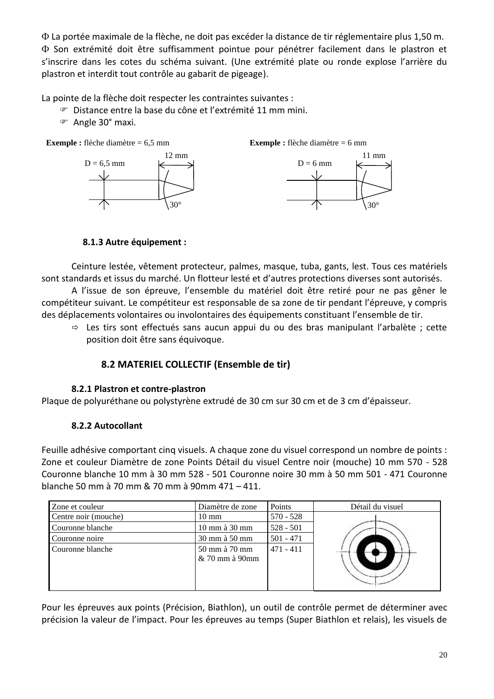La portée maximale de la flèche, ne doit pas excéder la distance de tir réglementaire plus 1,50 m. Son extrémité doit être suffisamment pointue pour pénétrer facilement dans le plastron et s'inscrire dans les cotes du schéma suivant. (Une extrémité plate ou ronde explose l'arrière du plastron et interdit tout contrôle au gabarit de pigeage).

La pointe de la flèche doit respecter les contraintes suivantes :

- Distance entre la base du cône et l'extrémité 11 mm mini.
- Angle 30° maxi.



# **8.1.3 Autre équipement :**

Ceinture lestée, vêtement protecteur, palmes, masque, tuba, gants, lest. Tous ces matériels sont standards et issus du marché. Un flotteur lesté et d'autres protections diverses sont autorisés.

A l'issue de son épreuve, l'ensemble du matériel doit être retiré pour ne pas gêner le compétiteur suivant. Le compétiteur est responsable de sa zone de tir pendant l'épreuve, y compris des déplacements volontaires ou involontaires des équipements constituant l'ensemble de tir.

 $\Rightarrow$  Les tirs sont effectués sans aucun appui du ou des bras manipulant l'arbalète; cette position doit être sans équivoque.

# **8.2 MATERIEL COLLECTIF (Ensemble de tir)**

# **8.2.1 Plastron et contre-plastron**

Plaque de polyuréthane ou polystyrène extrudé de 30 cm sur 30 cm et de 3 cm d'épaisseur.

# **8.2.2 Autocollant**

Feuille adhésive comportant cinq visuels. A chaque zone du visuel correspond un nombre de points : Zone et couleur Diamètre de zone Points Détail du visuel Centre noir (mouche) 10 mm 570 - 528 Couronne blanche 10 mm à 30 mm 528 - 501 Couronne noire 30 mm à 50 mm 501 - 471 Couronne blanche 50 mm à 70 mm & 70 mm à 90mm 471 – 411.

| Zone et couleur      | Diamètre de zone                  | Points      | Détail du visuel |
|----------------------|-----------------------------------|-------------|------------------|
| Centre noir (mouche) | $10 \text{ mm}$                   | $570 - 528$ |                  |
| Couronne blanche     | $10 \text{ mm}$ à $30 \text{ mm}$ | $528 - 501$ |                  |
| Couronne noire       | 30 mm à 50 mm                     | $501 - 471$ |                  |
| Couronne blanche     | 50 mm à 70 mm<br>$& 70$ mm à 90mm | $471 - 411$ | $-$              |

Pour les épreuves aux points (Précision, Biathlon), un outil de contrôle permet de déterminer avec précision la valeur de l'impact. Pour les épreuves au temps (Super Biathlon et relais), les visuels de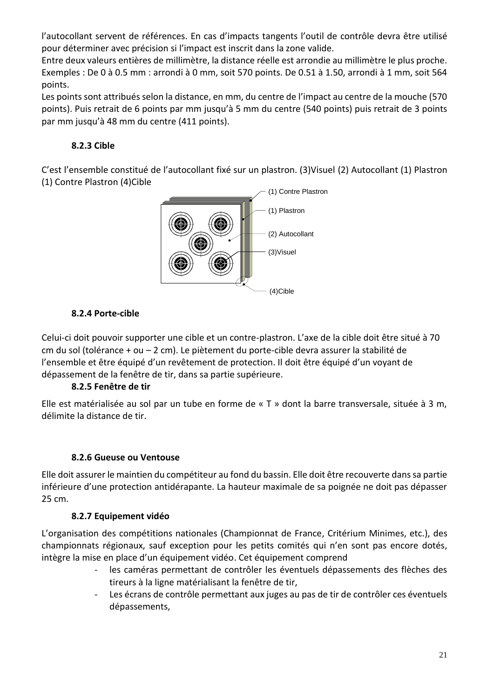l'autocollant servent de références. En cas d'impacts tangents l'outil de contrôle devra être utilisé pour déterminer avec précision si l'impact est inscrit dans la zone valide.

Entre deux valeurs entières de millimètre, la distance réelle est arrondie au millimètre le plus proche. Exemples : De 0 à 0.5 mm : arrondi à 0 mm, soit 570 points. De 0.51 à 1.50, arrondi à 1 mm, soit 564 points.

Les points sont attribués selon la distance, en mm, du centre de l'impact au centre de la mouche (570 points). Puis retrait de 6 points par mm jusqu'à 5 mm du centre (540 points) puis retrait de 3 points par mm jusqu'à 48 mm du centre (411 points).

# **8.2.3 Cible**

C'est l'ensemble constitué de l'autocollant fixé sur un plastron. (3)Visuel (2) Autocollant (1) Plastron (1) Contre Plastron (4)Cible



# **8.2.4 Porte-cible**

Celui-ci doit pouvoir supporter une cible et un contre-plastron. L'axe de la cible doit être situé à 70 cm du sol (tolérance + ou – 2 cm). Le piètement du porte-cible devra assurer la stabilité de l'ensemble et être équipé d'un revêtement de protection. Il doit être équipé d'un voyant de dépassement de la fenêtre de tir, dans sa partie supérieure.

# **8.2.5 Fenêtre de tir**

Elle est matérialisée au sol par un tube en forme de « T » dont la barre transversale, située à 3 m, délimite la distance de tir.

# **8.2.6 Gueuse ou Ventouse**

Elle doit assurer le maintien du compétiteur au fond du bassin. Elle doit être recouverte dans sa partie inférieure d'une protection antidérapante. La hauteur maximale de sa poignée ne doit pas dépasser 25 cm.

#### **8.2.7 Equipement vidéo**

L'organisation des compétitions nationales (Championnat de France, Critérium Minimes, etc.), des championnats régionaux, sauf exception pour les petits comités qui n'en sont pas encore dotés, intègre la mise en place d'un équipement vidéo. Cet équipement comprend

- les caméras permettant de contrôler les éventuels dépassements des flèches des tireurs à la ligne matérialisant la fenêtre de tir,
- Les écrans de contrôle permettant aux juges au pas de tir de contrôler ces éventuels dépassements,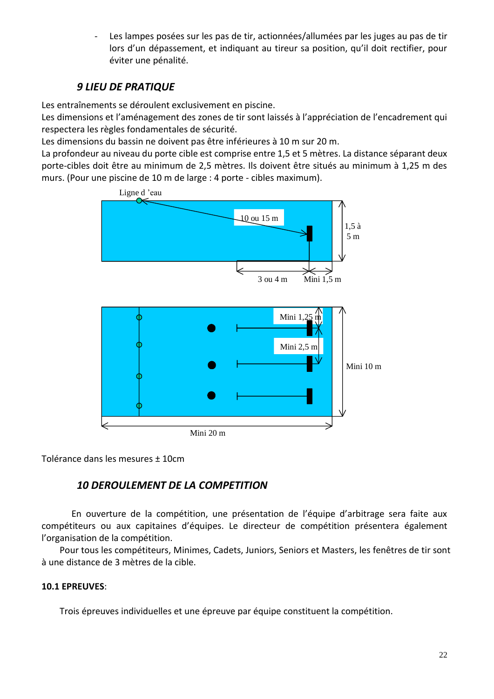Les lampes posées sur les pas de tir, actionnées/allumées par les juges au pas de tir lors d'un dépassement, et indiquant au tireur sa position, qu'il doit rectifier, pour éviter une pénalité.

# *9 LIEU DE PRATIQUE*

Les entraînements se déroulent exclusivement en piscine.

Les dimensions et l'aménagement des zones de tir sont laissés à l'appréciation de l'encadrement qui respectera les règles fondamentales de sécurité.

Les dimensions du bassin ne doivent pas être inférieures à 10 m sur 20 m.

La profondeur au niveau du porte cible est comprise entre 1,5 et 5 mètres. La distance séparant deux porte-cibles doit être au minimum de 2,5 mètres. Ils doivent être situés au minimum à 1,25 m des murs. (Pour une piscine de 10 m de large : 4 porte - cibles maximum).



Tolérance dans les mesures ± 10cm

# *10 DEROULEMENT DE LA COMPETITION*

En ouverture de la compétition, une présentation de l'équipe d'arbitrage sera faite aux compétiteurs ou aux capitaines d'équipes. Le directeur de compétition présentera également l'organisation de la compétition.

Pour tous les compétiteurs, Minimes, Cadets, Juniors, Seniors et Masters, les fenêtres de tir sont à une distance de 3 mètres de la cible.

# **10.1 EPREUVES**:

Trois épreuves individuelles et une épreuve par équipe constituent la compétition.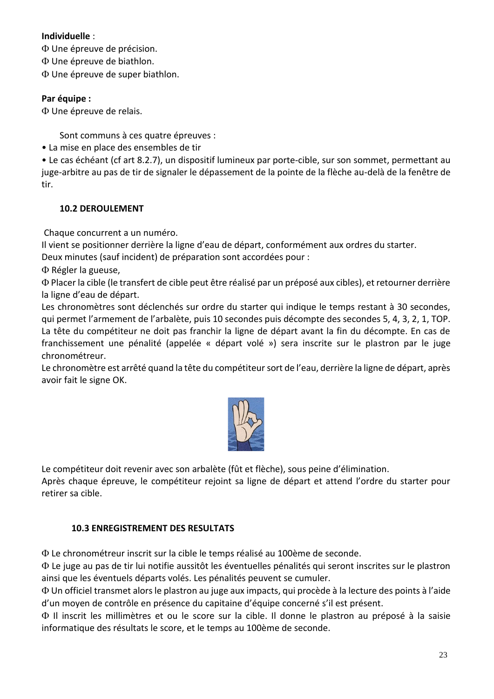#### **Individuelle** :

Une épreuve de précision.

Une épreuve de biathlon.

Une épreuve de super biathlon.

#### **Par équipe :**

Une épreuve de relais.

Sont communs à ces quatre épreuves :

• La mise en place des ensembles de tir

• Le cas échéant (cf art 8.2.7), un dispositif lumineux par porte-cible, sur son sommet, permettant au juge-arbitre au pas de tir de signaler le dépassement de la pointe de la flèche au-delà de la fenêtre de tir.

#### **10.2 DEROULEMENT**

Chaque concurrent a un numéro.

Il vient se positionner derrière la ligne d'eau de départ, conformément aux ordres du starter.

Deux minutes (sauf incident) de préparation sont accordées pour :

 $\Phi$  Régler la gueuse,

 Placer la cible (le transfert de cible peut être réalisé par un préposé aux cibles), et retourner derrière la ligne d'eau de départ.

Les chronomètres sont déclenchés sur ordre du starter qui indique le temps restant à 30 secondes, qui permet l'armement de l'arbalète, puis 10 secondes puis décompte des secondes 5, 4, 3, 2, 1, TOP. La tête du compétiteur ne doit pas franchir la ligne de départ avant la fin du décompte. En cas de franchissement une pénalité (appelée « départ volé ») sera inscrite sur le plastron par le juge chronométreur.

Le chronomètre est arrêté quand la tête du compétiteur sort de l'eau, derrière la ligne de départ, après avoir fait le signe OK.



Le compétiteur doit revenir avec son arbalète (fût et flèche), sous peine d'élimination. Après chaque épreuve, le compétiteur rejoint sa ligne de départ et attend l'ordre du starter pour retirer sa cible.

#### **10.3 ENREGISTREMENT DES RESULTATS**

Le chronométreur inscrit sur la cible le temps réalisé au 100ème de seconde.

 Le juge au pas de tir lui notifie aussitôt les éventuelles pénalités qui seront inscrites sur le plastron ainsi que les éventuels départs volés. Les pénalités peuvent se cumuler.

 Un officiel transmet alors le plastron au juge aux impacts, qui procède à la lecture des points à l'aide d'un moyen de contrôle en présence du capitaine d'équipe concerné s'il est présent.

 Il inscrit les millimètres et ou le score sur la cible. Il donne le plastron au préposé à la saisie informatique des résultats le score, et le temps au 100ème de seconde.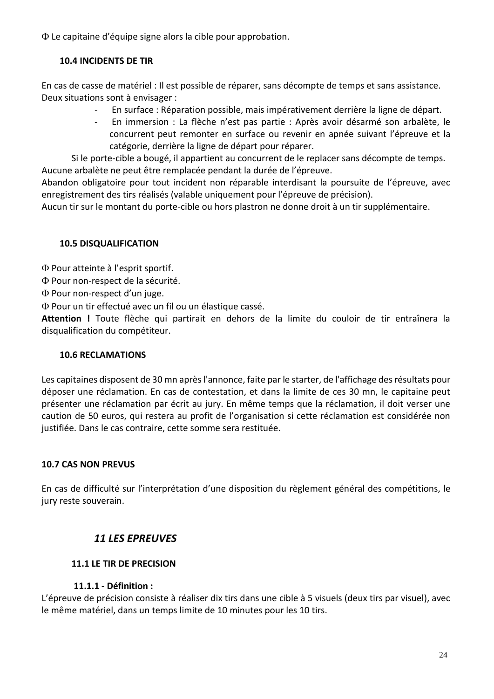Le capitaine d'équipe signe alors la cible pour approbation.

#### **10.4 INCIDENTS DE TIR**

En cas de casse de matériel : Il est possible de réparer, sans décompte de temps et sans assistance. Deux situations sont à envisager :

- En surface : Réparation possible, mais impérativement derrière la ligne de départ.
- En immersion : La flèche n'est pas partie : Après avoir désarmé son arbalète, le concurrent peut remonter en surface ou revenir en apnée suivant l'épreuve et la catégorie, derrière la ligne de départ pour réparer.

Si le porte-cible a bougé, il appartient au concurrent de le replacer sans décompte de temps. Aucune arbalète ne peut être remplacée pendant la durée de l'épreuve.

Abandon obligatoire pour tout incident non réparable interdisant la poursuite de l'épreuve, avec enregistrement des tirs réalisés (valable uniquement pour l'épreuve de précision).

Aucun tir sur le montant du porte-cible ou hors plastron ne donne droit à un tir supplémentaire.

#### **10.5 DISQUALIFICATION**

Pour atteinte à l'esprit sportif.

Pour non-respect de la sécurité.

 $\Phi$  Pour non-respect d'un juge.

Pour un tir effectué avec un fil ou un élastique cassé.

**Attention !** Toute flèche qui partirait en dehors de la limite du couloir de tir entraînera la disqualification du compétiteur.

#### **10.6 RECLAMATIONS**

Les capitaines disposent de 30 mn après l'annonce, faite par le starter, de l'affichage des résultats pour déposer une réclamation. En cas de contestation, et dans la limite de ces 30 mn, le capitaine peut présenter une réclamation par écrit au jury. En même temps que la réclamation, il doit verser une caution de 50 euros, qui restera au profit de l'organisation si cette réclamation est considérée non justifiée. Dans le cas contraire, cette somme sera restituée.

#### **10.7 CAS NON PREVUS**

En cas de difficulté sur l'interprétation d'une disposition du règlement général des compétitions, le jury reste souverain.

# *11 LES EPREUVES*

#### **11.1 LE TIR DE PRECISION**

#### **11.1.1 - Définition :**

L'épreuve de précision consiste à réaliser dix tirs dans une cible à 5 visuels (deux tirs par visuel), avec le même matériel, dans un temps limite de 10 minutes pour les 10 tirs.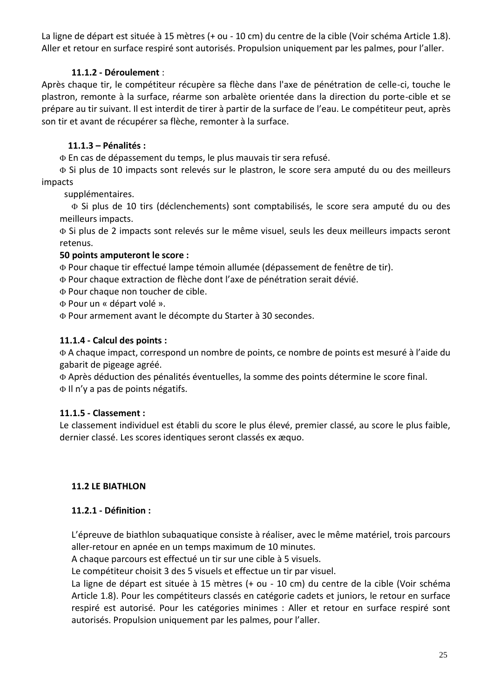La ligne de départ est située à 15 mètres (+ ou - 10 cm) du centre de la cible (Voir schéma Article 1.8). Aller et retour en surface respiré sont autorisés. Propulsion uniquement par les palmes, pour l'aller.

# **11.1.2 - Déroulement** :

Après chaque tir, le compétiteur récupère sa flèche dans l'axe de pénétration de celle-ci, touche le plastron, remonte à la surface, réarme son arbalète orientée dans la direction du porte-cible et se prépare au tir suivant. Il est interdit de tirer à partir de la surface de l'eau. Le compétiteur peut, après son tir et avant de récupérer sa flèche, remonter à la surface.

### **11.1.3 – Pénalités :**

En cas de dépassement du temps, le plus mauvais tir sera refusé.

 Si plus de 10 impacts sont relevés sur le plastron, le score sera amputé du ou des meilleurs impacts

supplémentaires.

 Si plus de 10 tirs (déclenchements) sont comptabilisés, le score sera amputé du ou des meilleurs impacts.

 Si plus de 2 impacts sont relevés sur le même visuel, seuls les deux meilleurs impacts seront retenus.

#### **50 points amputeront le score :**

Pour chaque tir effectué lampe témoin allumée (dépassement de fenêtre de tir).

Pour chaque extraction de flèche dont l'axe de pénétration serait dévié.

Pour chaque non toucher de cible.

Pour un « départ volé ».

Pour armement avant le décompte du Starter à 30 secondes.

#### **11.1.4 - Calcul des points :**

 A chaque impact, correspond un nombre de points, ce nombre de points est mesuré à l'aide du gabarit de pigeage agréé.

 Après déduction des pénalités éventuelles, la somme des points détermine le score final. Il n'y a pas de points négatifs.

# **11.1.5 - Classement :**

Le classement individuel est établi du score le plus élevé, premier classé, au score le plus faible, dernier classé. Les scores identiques seront classés ex æquo.

# **11.2 LE BIATHLON**

#### **11.2.1 - Définition :**

L'épreuve de biathlon subaquatique consiste à réaliser, avec le même matériel, trois parcours aller-retour en apnée en un temps maximum de 10 minutes.

A chaque parcours est effectué un tir sur une cible à 5 visuels.

Le compétiteur choisit 3 des 5 visuels et effectue un tir par visuel.

La ligne de départ est située à 15 mètres (+ ou - 10 cm) du centre de la cible (Voir schéma Article 1.8). Pour les compétiteurs classés en catégorie cadets et juniors, le retour en surface respiré est autorisé. Pour les catégories minimes : Aller et retour en surface respiré sont autorisés. Propulsion uniquement par les palmes, pour l'aller.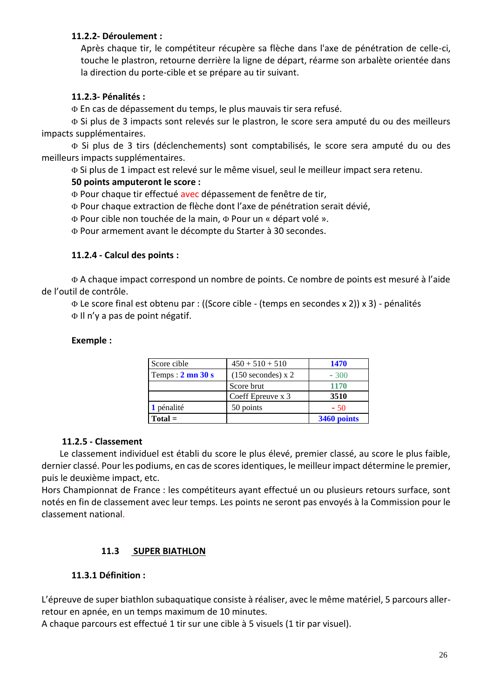#### **11.2.2- Déroulement :**

Après chaque tir, le compétiteur récupère sa flèche dans l'axe de pénétration de celle-ci, touche le plastron, retourne derrière la ligne de départ, réarme son arbalète orientée dans la direction du porte-cible et se prépare au tir suivant.

#### **11.2.3- Pénalités :**

En cas de dépassement du temps, le plus mauvais tir sera refusé.

 Si plus de 3 impacts sont relevés sur le plastron, le score sera amputé du ou des meilleurs impacts supplémentaires.

 Si plus de 3 tirs (déclenchements) sont comptabilisés, le score sera amputé du ou des meilleurs impacts supplémentaires.

Si plus de 1 impact est relevé sur le même visuel, seul le meilleur impact sera retenu.

#### **50 points amputeront le score :**

Pour chaque tir effectué avec dépassement de fenêtre de tir,

Pour chaque extraction de flèche dont l'axe de pénétration serait dévié,

Pour cible non touchée de la main, Pour un « départ volé ».

Pour armement avant le décompte du Starter à 30 secondes.

#### **11.2.4 - Calcul des points :**

 A chaque impact correspond un nombre de points. Ce nombre de points est mesuré à l'aide de l'outil de contrôle.

 Le score final est obtenu par : ((Score cible - (temps en secondes x 2)) x 3) - pénalités  $\Phi$  Il n'y a pas de point négatif.

#### **Exemple :**

| Score cible                         | $450 + 510 + 510$    | <b>1470</b> |  |
|-------------------------------------|----------------------|-------------|--|
| Temps: $2 \text{ mn } 30 \text{ s}$ | $(150$ secondes) x 2 | $-300$      |  |
|                                     | Score brut           | 1170        |  |
|                                     | Coeff Epreuve x 3    | 3510        |  |
| 1 pénalité                          | 50 points            | $-50$       |  |
| $Total =$                           |                      | 3460 points |  |

#### **11.2.5 - Classement**

Le classement individuel est établi du score le plus élevé, premier classé, au score le plus faible, dernier classé. Pour les podiums, en cas de scores identiques, le meilleur impact détermine le premier, puis le deuxième impact, etc.

Hors Championnat de France : les compétiteurs ayant effectué un ou plusieurs retours surface, sont notés en fin de classement avec leur temps. Les points ne seront pas envoyés à la Commission pour le classement national.

#### **11.3 SUPER BIATHLON**

#### **11.3.1 Définition :**

L'épreuve de super biathlon subaquatique consiste à réaliser, avec le même matériel, 5 parcours allerretour en apnée, en un temps maximum de 10 minutes.

A chaque parcours est effectué 1 tir sur une cible à 5 visuels (1 tir par visuel).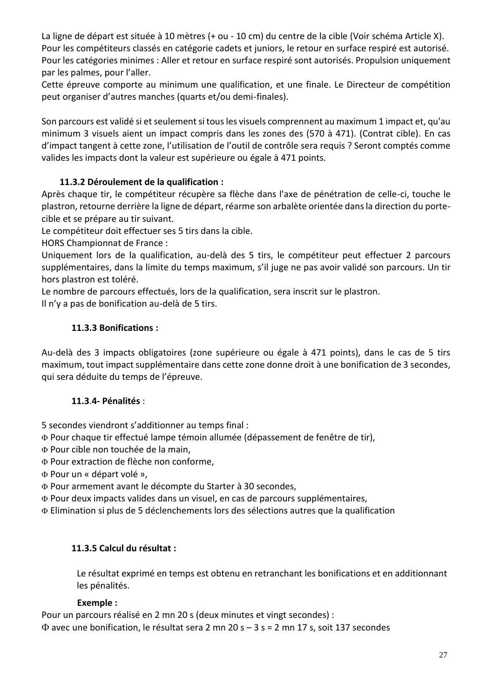La ligne de départ est située à 10 mètres (+ ou - 10 cm) du centre de la cible (Voir schéma Article X). Pour les compétiteurs classés en catégorie cadets et juniors, le retour en surface respiré est autorisé. Pour les catégories minimes : Aller et retour en surface respiré sont autorisés. Propulsion uniquement par les palmes, pour l'aller.

Cette épreuve comporte au minimum une qualification, et une finale. Le Directeur de compétition peut organiser d'autres manches (quarts et/ou demi-finales).

Son parcours est validé si et seulement si tous les visuels comprennent au maximum 1 impact et, qu'au minimum 3 visuels aient un impact compris dans les zones des (570 à 471). (Contrat cible). En cas d'impact tangent à cette zone, l'utilisation de l'outil de contrôle sera requis ? Seront comptés comme valides les impacts dont la valeur est supérieure ou égale à 471 points.

# **11.3.2 Déroulement de la qualification :**

Après chaque tir, le compétiteur récupère sa flèche dans l'axe de pénétration de celle-ci, touche le plastron, retourne derrière la ligne de départ, réarme son arbalète orientée dans la direction du portecible et se prépare au tir suivant.

Le compétiteur doit effectuer ses 5 tirs dans la cible.

HORS Championnat de France :

Uniquement lors de la qualification, au-delà des 5 tirs, le compétiteur peut effectuer 2 parcours supplémentaires, dans la limite du temps maximum, s'il juge ne pas avoir validé son parcours. Un tir hors plastron est toléré.

Le nombre de parcours effectués, lors de la qualification, sera inscrit sur le plastron. Il n'y a pas de bonification au-delà de 5 tirs.

# **11.3.3 Bonifications :**

Au-delà des 3 impacts obligatoires (zone supérieure ou égale à 471 points), dans le cas de 5 tirs maximum, tout impact supplémentaire dans cette zone donne droit à une bonification de 3 secondes, qui sera déduite du temps de l'épreuve.

# **11.3**.**4- Pénalités** :

5 secondes viendront s'additionner au temps final :

Pour chaque tir effectué lampe témoin allumée (dépassement de fenêtre de tir),

Pour cible non touchée de la main,

Pour extraction de flèche non conforme,

Pour un « départ volé »,

Pour armement avant le décompte du Starter à 30 secondes,

Pour deux impacts valides dans un visuel, en cas de parcours supplémentaires,

Elimination si plus de 5 déclenchements lors des sélections autres que la qualification

# **11.3.5 Calcul du résultat :**

Le résultat exprimé en temps est obtenu en retranchant les bonifications et en additionnant les pénalités.

#### **Exemple :**

Pour un parcours réalisé en 2 mn 20 s (deux minutes et vingt secondes) :

 $\Phi$  avec une bonification, le résultat sera 2 mn 20 s – 3 s = 2 mn 17 s, soit 137 secondes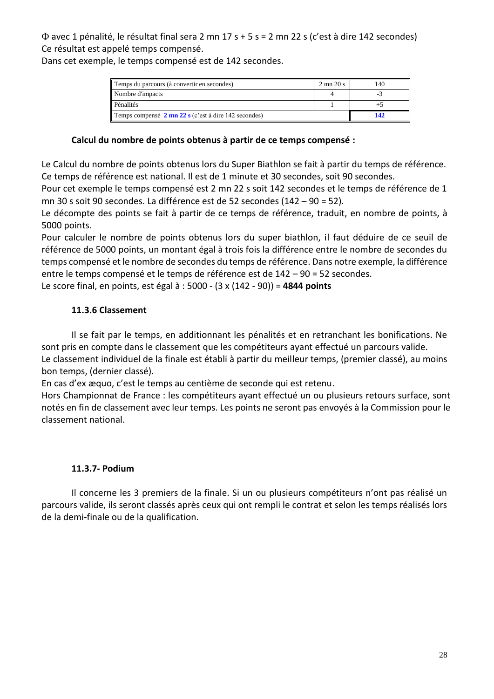avec 1 pénalité, le résultat final sera 2 mn 17 s + 5 s = 2 mn 22 s (c'est à dire 142 secondes) Ce résultat est appelé temps compensé.

Dans cet exemple, le temps compensé est de 142 secondes.

| Temps du parcours (à convertir en secondes)                            |     | 140 |
|------------------------------------------------------------------------|-----|-----|
| Nombre d'impacts                                                       |     |     |
| Pénalités                                                              |     |     |
| Temps compensé $2 \text{mn } 22 \text{ s}$ (c'est à dire 142 secondes) | 142 |     |

#### **Calcul du nombre de points obtenus à partir de ce temps compensé :**

Le Calcul du nombre de points obtenus lors du Super Biathlon se fait à partir du temps de référence. Ce temps de référence est national. Il est de 1 minute et 30 secondes, soit 90 secondes.

Pour cet exemple le temps compensé est 2 mn 22 s soit 142 secondes et le temps de référence de 1 mn 30 s soit 90 secondes. La différence est de 52 secondes (142 – 90 = 52).

Le décompte des points se fait à partir de ce temps de référence, traduit, en nombre de points, à 5000 points.

Pour calculer le nombre de points obtenus lors du super biathlon, il faut déduire de ce seuil de référence de 5000 points, un montant égal à trois fois la différence entre le nombre de secondes du temps compensé et le nombre de secondes du temps de référence. Dans notre exemple, la différence entre le temps compensé et le temps de référence est de 142 – 90 = 52 secondes.

Le score final, en points, est égal à : 5000 - (3 x (142 - 90)) = **4844 points**

# **11.3.6 Classement**

Il se fait par le temps, en additionnant les pénalités et en retranchant les bonifications. Ne sont pris en compte dans le classement que les compétiteurs ayant effectué un parcours valide.

Le classement individuel de la finale est établi à partir du meilleur temps, (premier classé), au moins bon temps, (dernier classé).

En cas d'ex æquo, c'est le temps au centième de seconde qui est retenu.

Hors Championnat de France : les compétiteurs ayant effectué un ou plusieurs retours surface, sont notés en fin de classement avec leur temps. Les points ne seront pas envoyés à la Commission pour le classement national.

# **11.3.7- Podium**

Il concerne les 3 premiers de la finale. Si un ou plusieurs compétiteurs n'ont pas réalisé un parcours valide, ils seront classés après ceux qui ont rempli le contrat et selon les temps réalisés lors de la demi-finale ou de la qualification.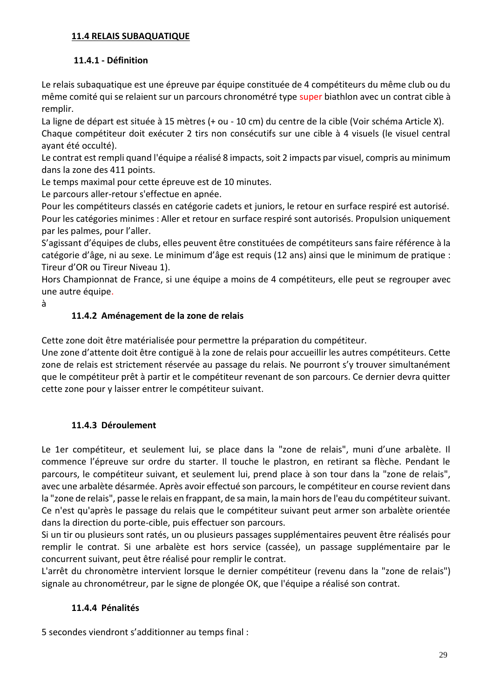### **11.4 RELAIS SUBAQUATIQUE**

# **11.4.1 - Définition**

Le relais subaquatique est une épreuve par équipe constituée de 4 compétiteurs du même club ou du même comité qui se relaient sur un parcours chronométré type super biathlon avec un contrat cible à remplir.

La ligne de départ est située à 15 mètres (+ ou - 10 cm) du centre de la cible (Voir schéma Article X). Chaque compétiteur doit exécuter 2 tirs non consécutifs sur une cible à 4 visuels (le visuel central ayant été occulté).

Le contrat est rempli quand l'équipe a réalisé 8 impacts, soit 2 impacts par visuel, compris au minimum dans la zone des 411 points.

Le temps maximal pour cette épreuve est de 10 minutes.

Le parcours aller-retour s'effectue en apnée.

Pour les compétiteurs classés en catégorie cadets et juniors, le retour en surface respiré est autorisé. Pour les catégories minimes : Aller et retour en surface respiré sont autorisés. Propulsion uniquement par les palmes, pour l'aller.

S'agissant d'équipes de clubs, elles peuvent être constituées de compétiteurs sans faire référence à la catégorie d'âge, ni au sexe. Le minimum d'âge est requis (12 ans) ainsi que le minimum de pratique : Tireur d'OR ou Tireur Niveau 1).

Hors Championnat de France, si une équipe a moins de 4 compétiteurs, elle peut se regrouper avec une autre équipe.

à

# **11.4.2 Aménagement de la zone de relais**

Cette zone doit être matérialisée pour permettre la préparation du compétiteur.

Une zone d'attente doit être contiguë à la zone de relais pour accueillir les autres compétiteurs. Cette zone de relais est strictement réservée au passage du relais. Ne pourront s'y trouver simultanément que le compétiteur prêt à partir et le compétiteur revenant de son parcours. Ce dernier devra quitter cette zone pour y laisser entrer le compétiteur suivant.

# **11.4.3 Déroulement**

Le 1er compétiteur, et seulement lui, se place dans la "zone de relais", muni d'une arbalète. Il commence l'épreuve sur ordre du starter. Il touche le plastron, en retirant sa flèche. Pendant le parcours, le compétiteur suivant, et seulement lui, prend place à son tour dans la "zone de relais", avec une arbalète désarmée. Après avoir effectué son parcours, le compétiteur en course revient dans la "zone de relais", passe le relais en frappant, de sa main, la main hors de l'eau du compétiteur suivant. Ce n'est qu'après le passage du relais que le compétiteur suivant peut armer son arbalète orientée dans la direction du porte-cible, puis effectuer son parcours.

Si un tir ou plusieurs sont ratés, un ou plusieurs passages supplémentaires peuvent être réalisés pour remplir le contrat. Si une arbalète est hors service (cassée), un passage supplémentaire par le concurrent suivant, peut être réalisé pour remplir le contrat.

L'arrêt du chronomètre intervient lorsque le dernier compétiteur (revenu dans la "zone de relais") signale au chronométreur, par le signe de plongée OK, que l'équipe a réalisé son contrat.

# **11.4.4 Pénalités**

5 secondes viendront s'additionner au temps final :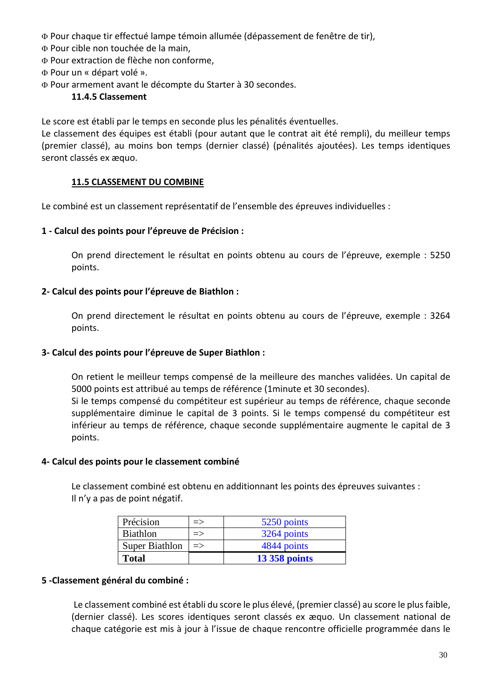Pour chaque tir effectué lampe témoin allumée (dépassement de fenêtre de tir),

- Pour cible non touchée de la main,
- Pour extraction de flèche non conforme,
- Pour un « départ volé ».
- Pour armement avant le décompte du Starter à 30 secondes.

#### **11.4.5 Classement**

Le score est établi par le temps en seconde plus les pénalités éventuelles.

Le classement des équipes est établi (pour autant que le contrat ait été rempli), du meilleur temps (premier classé), au moins bon temps (dernier classé) (pénalités ajoutées). Les temps identiques seront classés ex æquo.

#### **11.5 CLASSEMENT DU COMBINE**

Le combiné est un classement représentatif de l'ensemble des épreuves individuelles :

#### **1 - Calcul des points pour l'épreuve de Précision :**

On prend directement le résultat en points obtenu au cours de l'épreuve, exemple : 5250 points.

#### **2- Calcul des points pour l'épreuve de Biathlon :**

On prend directement le résultat en points obtenu au cours de l'épreuve, exemple : 3264 points.

#### **3- Calcul des points pour l'épreuve de Super Biathlon :**

On retient le meilleur temps compensé de la meilleure des manches validées. Un capital de 5000 points est attribué au temps de référence (1minute et 30 secondes).

Si le temps compensé du compétiteur est supérieur au temps de référence, chaque seconde supplémentaire diminue le capital de 3 points. Si le temps compensé du compétiteur est inférieur au temps de référence, chaque seconde supplémentaire augmente le capital de 3 points.

#### **4- Calcul des points pour le classement combiné**

Le classement combiné est obtenu en additionnant les points des épreuves suivantes : Il n'y a pas de point négatif.

| Précision             | $\Rightarrow$ | 5250 points          |
|-----------------------|---------------|----------------------|
| <b>Biathlon</b>       | $\Rightarrow$ | 3264 points          |
| <b>Super Biathlon</b> | $\Rightarrow$ | 4844 points          |
| <b>Total</b>          |               | <b>13 358 points</b> |

#### **5 -Classement général du combiné :**

Le classement combiné est établi du score le plus élevé, (premier classé) au score le plus faible, (dernier classé). Les scores identiques seront classés ex æquo. Un classement national de chaque catégorie est mis à jour à l'issue de chaque rencontre officielle programmée dans le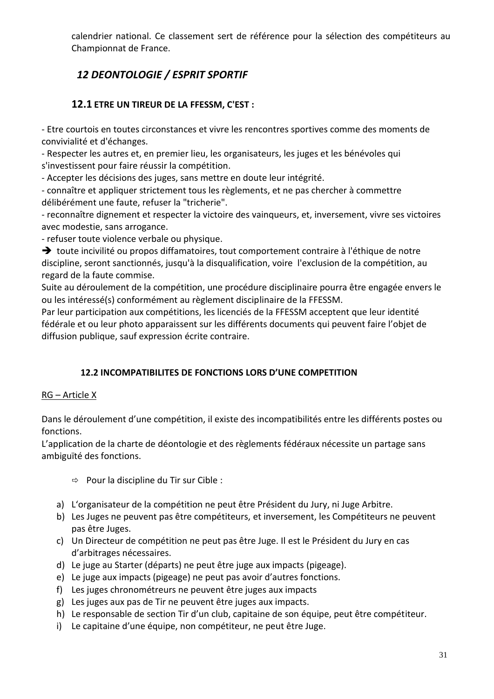calendrier national. Ce classement sert de référence pour la sélection des compétiteurs au Championnat de France.

# *12 DEONTOLOGIE / ESPRIT SPORTIF*

# **12.1 ETRE UN TIREUR DE LA FFESSM, C'EST :**

- Etre courtois en toutes circonstances et vivre les rencontres sportives comme des moments de convivialité et d'échanges.

- Respecter les autres et, en premier lieu, les organisateurs, les juges et les bénévoles qui s'investissent pour faire réussir la compétition.

- Accepter les décisions des juges, sans mettre en doute leur intégrité.

- connaître et appliquer strictement tous les règlements, et ne pas chercher à commettre délibérément une faute, refuser la "tricherie".

- reconnaître dignement et respecter la victoire des vainqueurs, et, inversement, vivre ses victoires avec modestie, sans arrogance.

- refuser toute violence verbale ou physique.

➔ toute incivilité ou propos diffamatoires, tout comportement contraire à l'éthique de notre discipline, seront sanctionnés, jusqu'à la disqualification, voire l'exclusion de la compétition, au regard de la faute commise.

Suite au déroulement de la compétition, une procédure disciplinaire pourra être engagée envers le ou les intéressé(s) conformément au règlement disciplinaire de la FFESSM.

Par leur participation aux compétitions, les licenciés de la FFESSM acceptent que leur identité fédérale et ou leur photo apparaissent sur les différents documents qui peuvent faire l'objet de diffusion publique, sauf expression écrite contraire.

# **12.2 INCOMPATIBILITES DE FONCTIONS LORS D'UNE COMPETITION**

# RG – Article X

Dans le déroulement d'une compétition, il existe des incompatibilités entre les différents postes ou fonctions.

L'application de la charte de déontologie et des règlements fédéraux nécessite un partage sans ambiguïté des fonctions.

- $\Rightarrow$  Pour la discipline du Tir sur Cible :
- a) L'organisateur de la compétition ne peut être Président du Jury, ni Juge Arbitre.
- b) Les Juges ne peuvent pas être compétiteurs, et inversement, les Compétiteurs ne peuvent pas être Juges.
- c) Un Directeur de compétition ne peut pas être Juge. Il est le Président du Jury en cas d'arbitrages nécessaires.
- d) Le juge au Starter (départs) ne peut être juge aux impacts (pigeage).
- e) Le juge aux impacts (pigeage) ne peut pas avoir d'autres fonctions.
- f) Les juges chronométreurs ne peuvent être juges aux impacts
- g) Les juges aux pas de Tir ne peuvent être juges aux impacts.
- h) Le responsable de section Tir d'un club, capitaine de son équipe, peut être compétiteur.
- i) Le capitaine d'une équipe, non compétiteur, ne peut être Juge.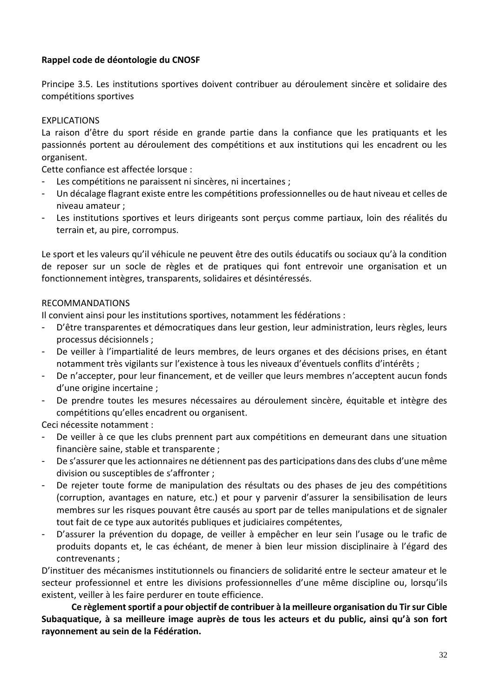#### **Rappel code de déontologie du CNOSF**

Principe 3.5. Les institutions sportives doivent contribuer au déroulement sincère et solidaire des compétitions sportives

#### EXPLICATIONS

La raison d'être du sport réside en grande partie dans la confiance que les pratiquants et les passionnés portent au déroulement des compétitions et aux institutions qui les encadrent ou les organisent.

Cette confiance est affectée lorsque :

- Les compétitions ne paraissent ni sincères, ni incertaines ;
- Un décalage flagrant existe entre les compétitions professionnelles ou de haut niveau et celles de niveau amateur ;
- Les institutions sportives et leurs dirigeants sont perçus comme partiaux, loin des réalités du terrain et, au pire, corrompus.

Le sport et les valeurs qu'il véhicule ne peuvent être des outils éducatifs ou sociaux qu'à la condition de reposer sur un socle de règles et de pratiques qui font entrevoir une organisation et un fonctionnement intègres, transparents, solidaires et désintéressés.

#### RECOMMANDATIONS

Il convient ainsi pour les institutions sportives, notamment les fédérations :

- D'être transparentes et démocratiques dans leur gestion, leur administration, leurs règles, leurs processus décisionnels ;
- De veiller à l'impartialité de leurs membres, de leurs organes et des décisions prises, en étant notamment très vigilants sur l'existence à tous les niveaux d'éventuels conflits d'intérêts ;
- De n'accepter, pour leur financement, et de veiller que leurs membres n'acceptent aucun fonds d'une origine incertaine ;
- De prendre toutes les mesures nécessaires au déroulement sincère, équitable et intègre des compétitions qu'elles encadrent ou organisent.

Ceci nécessite notamment :

- De veiller à ce que les clubs prennent part aux compétitions en demeurant dans une situation financière saine, stable et transparente ;
- De s'assurer que les actionnaires ne détiennent pas des participations dans des clubs d'une même division ou susceptibles de s'affronter ;
- De rejeter toute forme de manipulation des résultats ou des phases de jeu des compétitions (corruption, avantages en nature, etc.) et pour y parvenir d'assurer la sensibilisation de leurs membres sur les risques pouvant être causés au sport par de telles manipulations et de signaler tout fait de ce type aux autorités publiques et judiciaires compétentes,
- D'assurer la prévention du dopage, de veiller à empêcher en leur sein l'usage ou le trafic de produits dopants et, le cas échéant, de mener à bien leur mission disciplinaire à l'égard des contrevenants ;

D'instituer des mécanismes institutionnels ou financiers de solidarité entre le secteur amateur et le secteur professionnel et entre les divisions professionnelles d'une même discipline ou, lorsqu'ils existent, veiller à les faire perdurer en toute efficience.

**Ce règlement sportif a pour objectif de contribuer à la meilleure organisation du Tir sur Cible Subaquatique, à sa meilleure image auprès de tous les acteurs et du public, ainsi qu'à son fort rayonnement au sein de la Fédération.**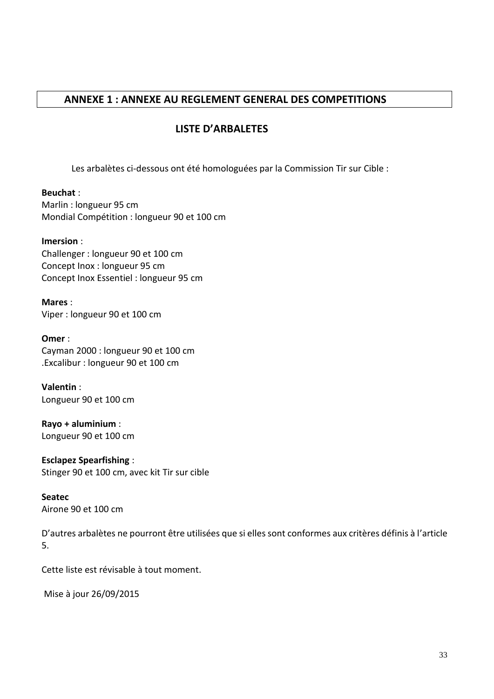# **ANNEXE 1 : ANNEXE AU REGLEMENT GENERAL DES COMPETITIONS**

# **LISTE D'ARBALETES**

Les arbalètes ci-dessous ont été homologuées par la Commission Tir sur Cible :

**Beuchat** : Marlin : longueur 95 cm Mondial Compétition : longueur 90 et 100 cm

#### **Imersion** :

Challenger : longueur 90 et 100 cm Concept Inox : longueur 95 cm Concept Inox Essentiel : longueur 95 cm

**Mares** : Viper : longueur 90 et 100 cm

**Omer** : Cayman 2000 : longueur 90 et 100 cm .Excalibur : longueur 90 et 100 cm

**Valentin** : Longueur 90 et 100 cm

**Rayo + aluminium** : Longueur 90 et 100 cm

**Esclapez Spearfishing** : Stinger 90 et 100 cm, avec kit Tir sur cible

**Seatec**  Airone 90 et 100 cm

D'autres arbalètes ne pourront être utilisées que si elles sont conformes aux critères définis à l'article 5.

Cette liste est révisable à tout moment.

Mise à jour 26/09/2015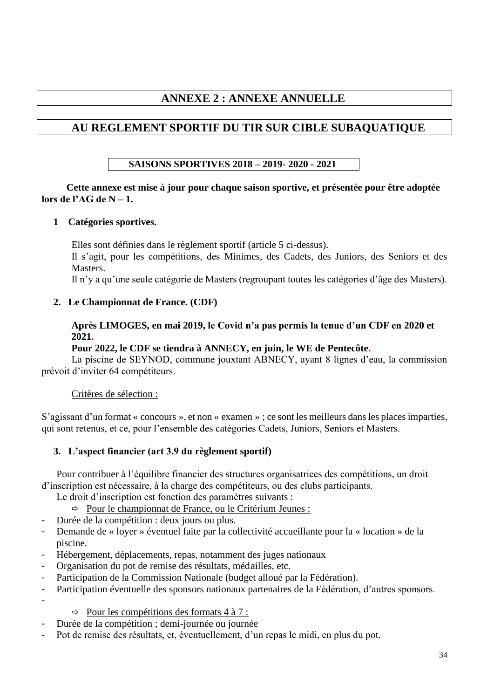# **ANNEXE 2 : ANNEXE ANNUELLE**

# **AU REGLEMENT SPORTIF DU TIR SUR CIBLE SUBAQUATIQUE**

# **SAISONS SPORTIVES 2018 – 2019- 2020 - 2021**

#### **Cette annexe est mise à jour pour chaque saison sportive, et présentée pour être adoptée lors de l'AG de N – 1.**

#### **1 Catégories sportives.**

Elles sont définies dans le règlement sportif (article 5 ci-dessus).

Il s'agit, pour les compétitions, des Minimes, des Cadets, des Juniors, des Seniors et des Masters.

Il n'y a qu'une seule catégorie de Masters (regroupant toutes les catégories d'âge des Masters).

#### **2. Le Championnat de France. (CDF)**

**Après LIMOGES, en mai 2019, le Covid n'a pas permis la tenue d'un CDF en 2020 et 2021.** 

#### **Pour 2022, le CDF se tiendra à ANNECY, en juin, le WE de Pentecôte.**

La piscine de SEYNOD, commune jouxtant ABNECY, ayant 8 lignes d'eau, la commission prévoit d'inviter 64 compétiteurs.

#### Critères de sélection :

S'agissant d'un format « concours », et non « examen » ; ce sont les meilleurs dans les places imparties, qui sont retenus, et ce, pour l'ensemble des catégories Cadets, Juniors, Seniors et Masters.

#### **3. L'aspect financier (art 3.9 du règlement sportif)**

Pour contribuer à l'équilibre financier des structures organisatrices des compétitions, un droit d'inscription est nécessaire, à la charge des compétiteurs, ou des clubs participants.

Le droit d'inscription est fonction des paramètres suivants :

- $\Rightarrow$  Pour le championnat de France, ou le Critérium Jeunes :
- Durée de la compétition : deux jours ou plus.
- Demande de « loyer » éventuel faite par la collectivité accueillante pour la « location » de la piscine.
- Hébergement, déplacements, repas, notamment des juges nationaux
- Organisation du pot de remise des résultats, médailles, etc.
- Participation de la Commission Nationale (budget alloué par la Fédération).
- Participation éventuelle des sponsors nationaux partenaires de la Fédération, d'autres sponsors.

-

- $\Rightarrow$  Pour les compétitions des formats 4 à 7 :
- Durée de la compétition ; demi-journée ou journée
- Pot de remise des résultats, et, éventuellement, d'un repas le midi, en plus du pot.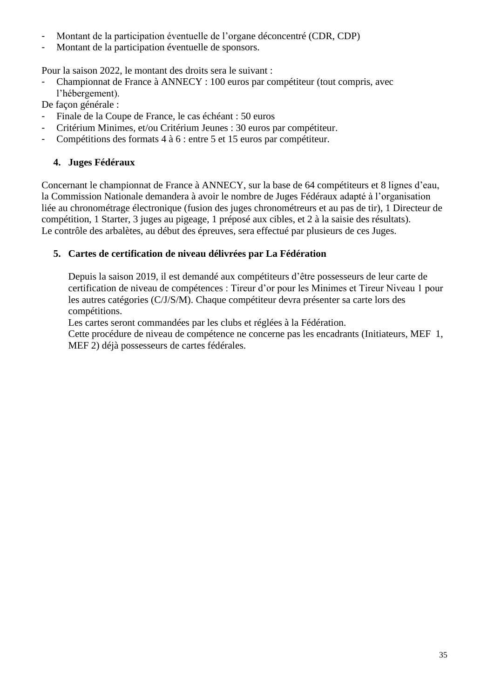- Montant de la participation éventuelle de l'organe déconcentré (CDR, CDP)
- Montant de la participation éventuelle de sponsors.

Pour la saison 2022, le montant des droits sera le suivant :

- Championnat de France à ANNECY : 100 euros par compétiteur (tout compris, avec l'hébergement).

De façon générale :

- Finale de la Coupe de France, le cas échéant : 50 euros
- Critérium Minimes, et/ou Critérium Jeunes : 30 euros par compétiteur.
- Compétitions des formats 4 à 6 : entre 5 et 15 euros par compétiteur.

# **4. Juges Fédéraux**

Concernant le championnat de France à ANNECY, sur la base de 64 compétiteurs et 8 lignes d'eau, la Commission Nationale demandera à avoir le nombre de Juges Fédéraux adapté à l'organisation liée au chronométrage électronique (fusion des juges chronométreurs et au pas de tir), 1 Directeur de compétition, 1 Starter, 3 juges au pigeage, 1 préposé aux cibles, et 2 à la saisie des résultats). Le contrôle des arbalètes, au début des épreuves, sera effectué par plusieurs de ces Juges.

# **5. Cartes de certification de niveau délivrées par La Fédération**

Depuis la saison 2019, il est demandé aux compétiteurs d'être possesseurs de leur carte de certification de niveau de compétences : Tireur d'or pour les Minimes et Tireur Niveau 1 pour les autres catégories (C/J/S/M). Chaque compétiteur devra présenter sa carte lors des compétitions.

Les cartes seront commandées par les clubs et réglées à la Fédération.

Cette procédure de niveau de compétence ne concerne pas les encadrants (Initiateurs, MEF 1, MEF 2) déjà possesseurs de cartes fédérales.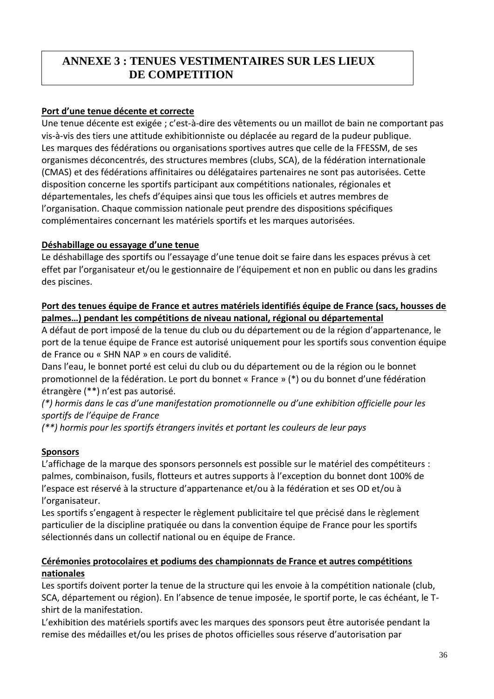#### **EXECUTE VESTIGATES ANNEXE 3 : TENUES VESTIMENTAIRES SUR LES LIEUX DE COMPETITION**

### **Port d'une tenue décente et correcte**

Une tenue décente est exigée ; c'est-à-dire des vêtements ou un maillot de bain ne comportant pas vis-à-vis des tiers une attitude exhibitionniste ou déplacée au regard de la pudeur publique. Les marques des fédérations ou organisations sportives autres que celle de la FFESSM, de ses organismes déconcentrés, des structures membres (clubs, SCA), de la fédération internationale (CMAS) et des fédérations affinitaires ou délégataires partenaires ne sont pas autorisées. Cette disposition concerne les sportifs participant aux compétitions nationales, régionales et départementales, les chefs d'équipes ainsi que tous les officiels et autres membres de l'organisation. Chaque commission nationale peut prendre des dispositions spécifiques complémentaires concernant les matériels sportifs et les marques autorisées.

#### **Déshabillage ou essayage d'une tenue**

Le déshabillage des sportifs ou l'essayage d'une tenue doit se faire dans les espaces prévus à cet effet par l'organisateur et/ou le gestionnaire de l'équipement et non en public ou dans les gradins des piscines.

#### **Port des tenues équipe de France et autres matériels identifiés équipe de France (sacs, housses de palmes…) pendant les compétitions de niveau national, régional ou départemental**

A défaut de port imposé de la tenue du club ou du département ou de la région d'appartenance, le port de la tenue équipe de France est autorisé uniquement pour les sportifs sous convention équipe de France ou « SHN NAP » en cours de validité.

Dans l'eau, le bonnet porté est celui du club ou du département ou de la région ou le bonnet promotionnel de la fédération. Le port du bonnet « France » (\*) ou du bonnet d'une fédération étrangère (\*\*) n'est pas autorisé.

*(\*) hormis dans le cas d'une manifestation promotionnelle ou d'une exhibition officielle pour les sportifs de l'équipe de France*

*(\*\*) hormis pour les sportifs étrangers invités et portant les couleurs de leur pays*

# **Sponsors**

L'affichage de la marque des sponsors personnels est possible sur le matériel des compétiteurs : palmes, combinaison, fusils, flotteurs et autres supports à l'exception du bonnet dont 100% de l'espace est réservé à la structure d'appartenance et/ou à la fédération et ses OD et/ou à l'organisateur.

Les sportifs s'engagent à respecter le règlement publicitaire tel que précisé dans le règlement particulier de la discipline pratiquée ou dans la convention équipe de France pour les sportifs sélectionnés dans un collectif national ou en équipe de France.

#### **Cérémonies protocolaires et podiums des championnats de France et autres compétitions nationales**

Les sportifs doivent porter la tenue de la structure qui les envoie à la compétition nationale (club, SCA, département ou région). En l'absence de tenue imposée, le sportif porte, le cas échéant, le Tshirt de la manifestation.

L'exhibition des matériels sportifs avec les marques des sponsors peut être autorisée pendant la remise des médailles et/ou les prises de photos officielles sous réserve d'autorisation par